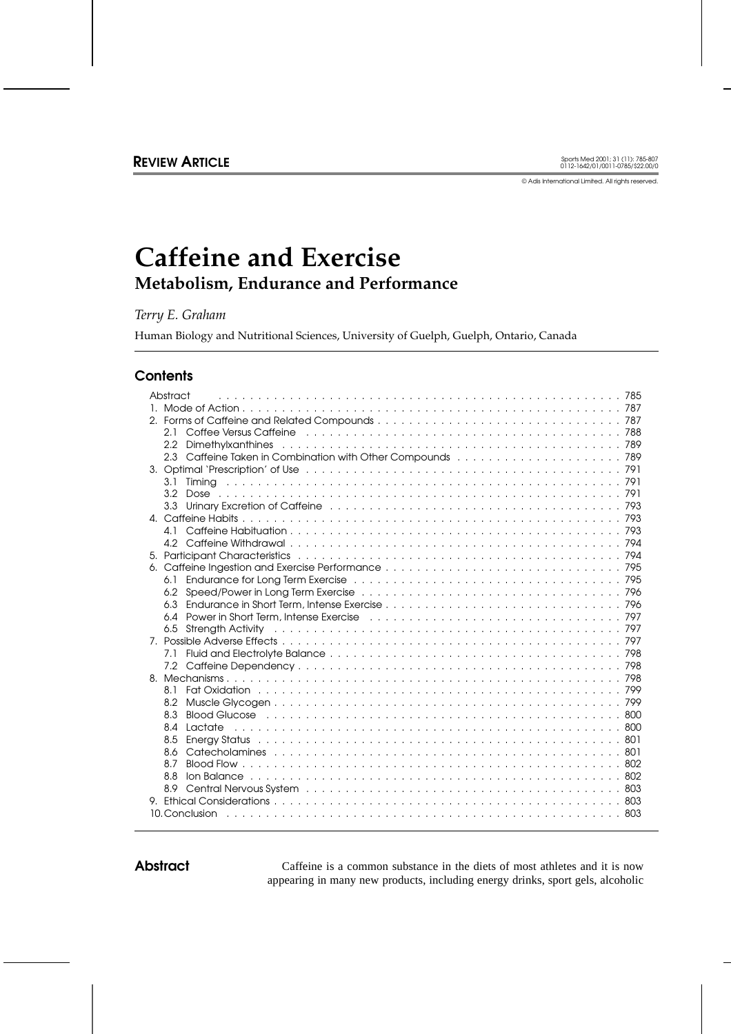© Adis International Limited. All rights reserved.

# **Caffeine and Exercise Metabolism, Endurance and Performance**

## *Terry E. Graham*

Human Biology and Nutritional Sciences, University of Guelph, Guelph, Ontario, Canada

# **Contents**

| Abstract                                                                                                                                                                                                                              |      |
|---------------------------------------------------------------------------------------------------------------------------------------------------------------------------------------------------------------------------------------|------|
|                                                                                                                                                                                                                                       |      |
|                                                                                                                                                                                                                                       | 787  |
| Coffee Versus Caffeine No. 1998 No. 1998 No. 1999 No. 1998 No. 1998 No. 1998<br>2.1                                                                                                                                                   |      |
| 2.2                                                                                                                                                                                                                                   |      |
|                                                                                                                                                                                                                                       |      |
|                                                                                                                                                                                                                                       |      |
| 3.1<br>Timina                                                                                                                                                                                                                         |      |
| 3.2                                                                                                                                                                                                                                   |      |
| Urinary Excretion of Caffeine enterprise in the contract of the contract of Caffeine enterprise in the contract of U                                                                                                                  | 793  |
|                                                                                                                                                                                                                                       | 793  |
|                                                                                                                                                                                                                                       | 793  |
|                                                                                                                                                                                                                                       |      |
| 5. Participant Characteristics et al., respectively and the control of the control of the control of the control of the control of the control of the control of the control of the control of the control of the control of t        |      |
|                                                                                                                                                                                                                                       |      |
| 6.1                                                                                                                                                                                                                                   |      |
| 6.2                                                                                                                                                                                                                                   |      |
| 6.3                                                                                                                                                                                                                                   |      |
| Power in Short Term, Intense Exercise (a) and a subset of the state of the state of the state of the state of the state of the state of the state of the state of the state of the state of the state of the state of the stat<br>6.4 |      |
| 6.5                                                                                                                                                                                                                                   | 797  |
| 7.                                                                                                                                                                                                                                    | 797  |
| 7.1                                                                                                                                                                                                                                   |      |
|                                                                                                                                                                                                                                       |      |
|                                                                                                                                                                                                                                       |      |
| 8.1                                                                                                                                                                                                                                   |      |
| 8.2                                                                                                                                                                                                                                   |      |
| 8.3                                                                                                                                                                                                                                   |      |
| 8.4<br>Lactate                                                                                                                                                                                                                        |      |
| Energy Status business and the contract of the contract of the contract of the contract of the contract of the<br>8.5                                                                                                                 | -801 |
| 8.6                                                                                                                                                                                                                                   |      |
| 8.7                                                                                                                                                                                                                                   |      |
| 8.8                                                                                                                                                                                                                                   |      |
| Central Nervous System research and the contract of the contract of the contract of the contract of the contract of the contract of the contract of the contract of the contract of the contract of the contract of the contra<br>8.9 |      |
|                                                                                                                                                                                                                                       |      |
|                                                                                                                                                                                                                                       |      |
|                                                                                                                                                                                                                                       |      |

**Abstract** Caffeine is a common substance in the diets of most athletes and it is now appearing in many new products, including energy drinks, sport gels, alcoholic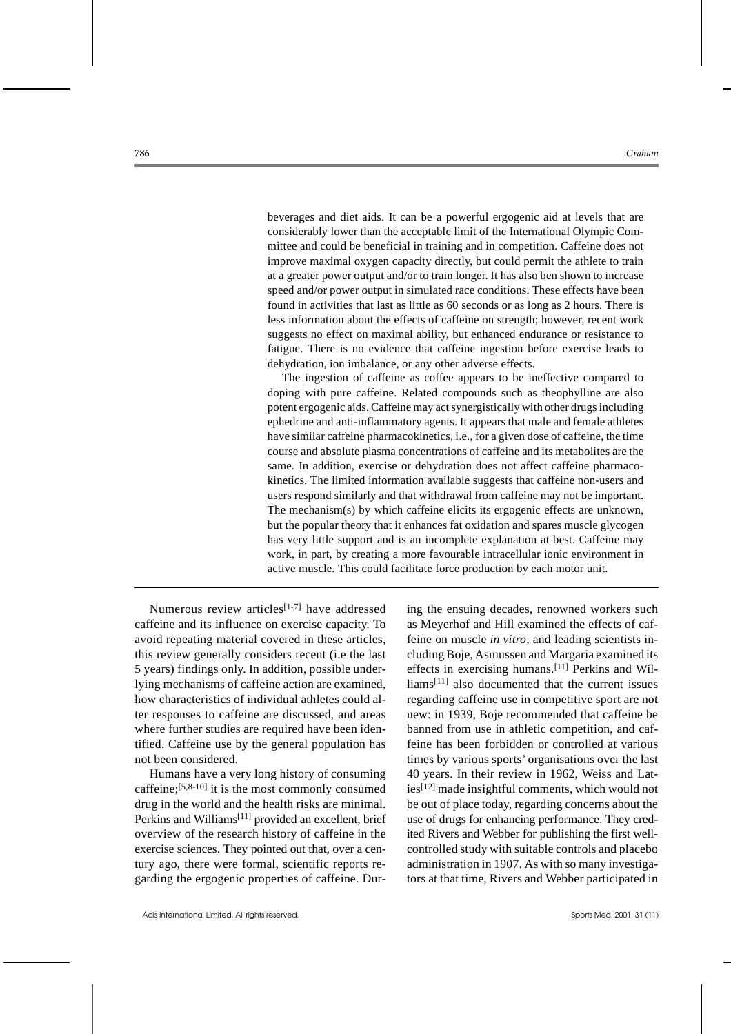beverages and diet aids. It can be a powerful ergogenic aid at levels that are considerably lower than the acceptable limit of the International Olympic Committee and could be beneficial in training and in competition. Caffeine does not improve maximal oxygen capacity directly, but could permit the athlete to train at a greater power output and/or to train longer. It has also ben shown to increase speed and/or power output in simulated race conditions. These effects have been found in activities that last as little as 60 seconds or as long as 2 hours. There is less information about the effects of caffeine on strength; however, recent work suggests no effect on maximal ability, but enhanced endurance or resistance to fatigue. There is no evidence that caffeine ingestion before exercise leads to dehydration, ion imbalance, or any other adverse effects.

The ingestion of caffeine as coffee appears to be ineffective compared to doping with pure caffeine. Related compounds such as theophylline are also potent ergogenic aids. Caffeine may act synergistically with other drugs including ephedrine and anti-inflammatory agents. It appears that male and female athletes have similar caffeine pharmacokinetics, i.e., for a given dose of caffeine, the time course and absolute plasma concentrations of caffeine and its metabolites are the same. In addition, exercise or dehydration does not affect caffeine pharmacokinetics. The limited information available suggests that caffeine non-users and users respond similarly and that withdrawal from caffeine may not be important. The mechanism(s) by which caffeine elicits its ergogenic effects are unknown, but the popular theory that it enhances fat oxidation and spares muscle glycogen has very little support and is an incomplete explanation at best. Caffeine may work, in part, by creating a more favourable intracellular ionic environment in active muscle. This could facilitate force production by each motor unit.

Numerous review articles<sup>[1-7]</sup> have addressed caffeine and its influence on exercise capacity. To avoid repeating material covered in these articles, this review generally considers recent (i.e the last 5 years) findings only. In addition, possible underlying mechanisms of caffeine action are examined, how characteristics of individual athletes could alter responses to caffeine are discussed, and areas where further studies are required have been identified. Caffeine use by the general population has not been considered.

Humans have a very long history of consuming caffeine;[5,8-10] it is the most commonly consumed drug in the world and the health risks are minimal. Perkins and Williams<sup>[11]</sup> provided an excellent, brief overview of the research history of caffeine in the exercise sciences. They pointed out that, over a century ago, there were formal, scientific reports regarding the ergogenic properties of caffeine. During the ensuing decades, renowned workers such as Meyerhof and Hill examined the effects of caffeine on muscle *in vitro*, and leading scientists including Boje, Asmussen and Margaria examined its effects in exercising humans.[11] Perkins and Williams[11] also documented that the current issues regarding caffeine use in competitive sport are not new: in 1939, Boje recommended that caffeine be banned from use in athletic competition, and caffeine has been forbidden or controlled at various times by various sports' organisations over the last 40 years. In their review in 1962, Weiss and Laties[12] made insightful comments, which would not be out of place today, regarding concerns about the use of drugs for enhancing performance. They credited Rivers and Webber for publishing the first wellcontrolled study with suitable controls and placebo administration in 1907. As with so many investigators at that time, Rivers and Webber participated in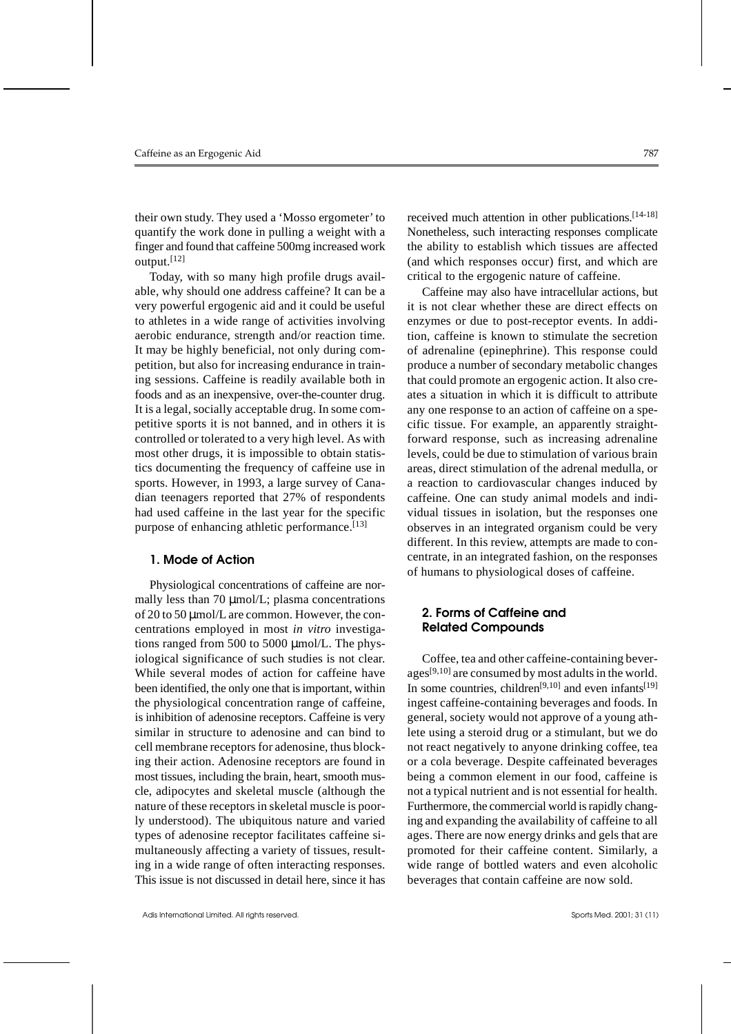their own study. They used a 'Mosso ergometer' to quantify the work done in pulling a weight with a finger and found that caffeine 500mg increased work output.[12]

Today, with so many high profile drugs available, why should one address caffeine? It can be a very powerful ergogenic aid and it could be useful to athletes in a wide range of activities involving aerobic endurance, strength and/or reaction time. It may be highly beneficial, not only during competition, but also for increasing endurance in training sessions. Caffeine is readily available both in foods and as an inexpensive, over-the-counter drug. It is a legal, socially acceptable drug. In some competitive sports it is not banned, and in others it is controlled or tolerated to a very high level. As with most other drugs, it is impossible to obtain statistics documenting the frequency of caffeine use in sports. However, in 1993, a large survey of Canadian teenagers reported that 27% of respondents had used caffeine in the last year for the specific purpose of enhancing athletic performance.<sup>[13]</sup>

#### **1. Mode of Action**

Physiological concentrations of caffeine are normally less than  $70 \text{ \mu}$   $\mu$ . plasma concentrations of 20 to 50 µmol/L are common. However, the concentrations employed in most *in vitro* investigations ranged from 500 to 5000 µmol/L. The physiological significance of such studies is not clear. While several modes of action for caffeine have been identified, the only one that is important, within the physiological concentration range of caffeine, is inhibition of adenosine receptors. Caffeine is very similar in structure to adenosine and can bind to cell membrane receptors for adenosine, thus blocking their action. Adenosine receptors are found in most tissues, including the brain, heart, smooth muscle, adipocytes and skeletal muscle (although the nature of these receptors in skeletal muscle is poorly understood). The ubiquitous nature and varied types of adenosine receptor facilitates caffeine simultaneously affecting a variety of tissues, resulting in a wide range of often interacting responses. This issue is not discussed in detail here, since it has received much attention in other publications.[14-18] Nonetheless, such interacting responses complicate the ability to establish which tissues are affected (and which responses occur) first, and which are critical to the ergogenic nature of caffeine.

Caffeine may also have intracellular actions, but it is not clear whether these are direct effects on enzymes or due to post-receptor events. In addition, caffeine is known to stimulate the secretion of adrenaline (epinephrine). This response could produce a number of secondary metabolic changes that could promote an ergogenic action. It also creates a situation in which it is difficult to attribute any one response to an action of caffeine on a specific tissue. For example, an apparently straightforward response, such as increasing adrenaline levels, could be due to stimulation of various brain areas, direct stimulation of the adrenal medulla, or a reaction to cardiovascular changes induced by caffeine. One can study animal models and individual tissues in isolation, but the responses one observes in an integrated organism could be very different. In this review, attempts are made to concentrate, in an integrated fashion, on the responses of humans to physiological doses of caffeine.

### **2. Forms of Caffeine and Related Compounds**

Coffee, tea and other caffeine-containing beverages $[9,10]$  are consumed by most adults in the world. In some countries, children<sup>[9,10]</sup> and even infants<sup>[19]</sup> ingest caffeine-containing beverages and foods. In general, society would not approve of a young athlete using a steroid drug or a stimulant, but we do not react negatively to anyone drinking coffee, tea or a cola beverage. Despite caffeinated beverages being a common element in our food, caffeine is not a typical nutrient and is not essential for health. Furthermore, the commercial world is rapidly changing and expanding the availability of caffeine to all ages. There are now energy drinks and gels that are promoted for their caffeine content. Similarly, a wide range of bottled waters and even alcoholic beverages that contain caffeine are now sold.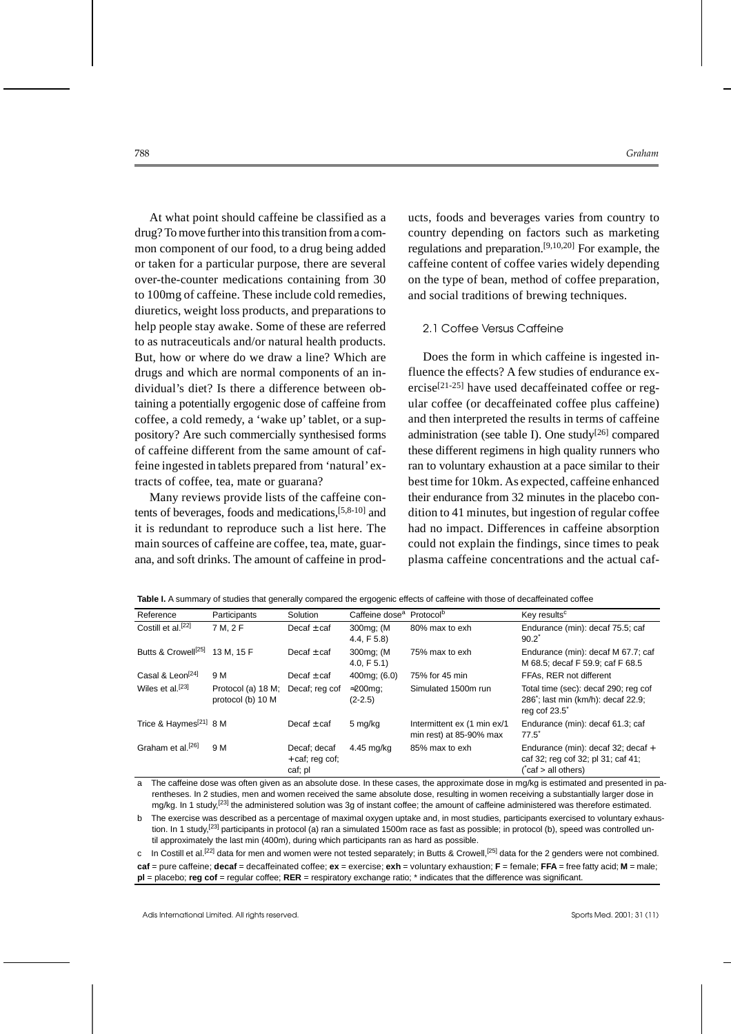At what point should caffeine be classified as a drug? To move further into this transition from a common component of our food, to a drug being added or taken for a particular purpose, there are several over-the-counter medications containing from 30 to 100mg of caffeine. These include cold remedies, diuretics, weight loss products, and preparations to help people stay awake. Some of these are referred to as nutraceuticals and/or natural health products. But, how or where do we draw a line? Which are drugs and which are normal components of an individual's diet? Is there a difference between obtaining a potentially ergogenic dose of caffeine from coffee, a cold remedy, a 'wake up' tablet, or a suppository? Are such commercially synthesised forms of caffeine different from the same amount of caffeine ingested in tablets prepared from 'natural'extracts of coffee, tea, mate or guarana?

Many reviews provide lists of the caffeine contents of beverages, foods and medications,[5,8-10] and it is redundant to reproduce such a list here. The main sources of caffeine are coffee, tea, mate, guarana, and soft drinks. The amount of caffeine in products, foods and beverages varies from country to country depending on factors such as marketing regulations and preparation.[9,10,20] For example, the caffeine content of coffee varies widely depending on the type of bean, method of coffee preparation, and social traditions of brewing techniques.

#### 2.1 Coffee Versus Caffeine

Does the form in which caffeine is ingested influence the effects? A few studies of endurance exercise<sup>[21-25]</sup> have used decaffeinated coffee or regular coffee (or decaffeinated coffee plus caffeine) and then interpreted the results in terms of caffeine administration (see table I). One study<sup>[26]</sup> compared these different regimens in high quality runners who ran to voluntary exhaustion at a pace similar to their best time for 10km. As expected, caffeine enhanced their endurance from 32 minutes in the placebo condition to 41 minutes, but ingestion of regular coffee had no impact. Differences in caffeine absorption could not explain the findings, since times to peak plasma caffeine concentrations and the actual caf-

| Reference                          | Participants                            | Solution                                     | Caffeine dose <sup>a</sup> Protocol <sup>b</sup> |                                                        | Key results <sup>c</sup>                                                                                |
|------------------------------------|-----------------------------------------|----------------------------------------------|--------------------------------------------------|--------------------------------------------------------|---------------------------------------------------------------------------------------------------------|
| Costill et al. <sup>[22]</sup>     | 7 M. 2 F                                | Decaf $\pm$ caf                              | 300mg; (M<br>4.4, F.5.8                          | 80% max to exh                                         | Endurance (min): decaf 75.5; caf<br>$90.2^{\degree}$                                                    |
| Butts & Crowell <sup>[25]</sup>    | 13 M, 15 F                              | $Decaf + caf$                                | 300mg; (M<br>4.0, F.5.1                          | 75% max to exh                                         | Endurance (min): decaf M 67.7; caf<br>M 68.5; decaf F 59.9; caf F 68.5                                  |
| Casal & Leon <sup>[24]</sup>       | 9 M                                     | $Decaf + caf$                                | $400$ mg; $(6.0)$                                | 75% for 45 min                                         | FFAs. RER not different                                                                                 |
| Wiles et al. $[23]$                | Protocol (a) 18 M;<br>protocol (b) 10 M | Decaf: reg cof                               | $\approx$ 200mg:<br>$(2-2.5)$                    | Simulated 1500m run                                    | Total time (sec): decaf 290; reg cof<br>286 <sup>*</sup> ; last min (km/h): decaf 22.9;<br>reg cof 23.5 |
| Trice & Haymes <sup>[21]</sup> 8 M |                                         | $Decaf + caf$                                | 5 mg/kg                                          | Intermittent ex (1 min ex/1<br>min rest) at 85-90% max | Endurance (min): decaf 61.3; caf<br>$77.5^{\degree}$                                                    |
| Graham et al. <sup>[26]</sup>      | 9 M                                     | Decaf: decaf<br>$+$ caf; reg cof;<br>caf; pl | 4.45 ma/ka                                       | 85% max to exh                                         | Endurance (min): decaf 32; decaf +<br>caf 32; reg cof 32; pl 31; caf 41;<br>caf > all others)           |

**Table I.** A summary of studies that generally compared the ergogenic effects of caffeine with those of decaffeinated coffee

a The caffeine dose was often given as an absolute dose. In these cases, the approximate dose in mg/kg is estimated and presented in parentheses. In 2 studies, men and women received the same absolute dose, resulting in women receiving a substantially larger dose in mg/kg. In 1 study,<sup>[23]</sup> the administered solution was 3g of instant coffee; the amount of caffeine administered was therefore estimated.

b The exercise was described as a percentage of maximal oxygen uptake and, in most studies, participants exercised to voluntary exhaustion. In 1 study,<sup>[23]</sup> participants in protocol (a) ran a simulated 1500m race as fast as possible; in protocol (b), speed was controlled until approximately the last min (400m), during which participants ran as hard as possible.

c In Costill et al.<sup>[22]</sup> data for men and women were not tested separately; in Butts & Crowell,<sup>[25]</sup> data for the 2 genders were not combined. **caf** = pure caffeine; **decaf** = decaffeinated coffee; **ex** = exercise; **exh** = voluntary exhaustion; **F** = female; **FFA** = free fatty acid; **M** = male; **pl** = placebo; **reg cof** = regular coffee; **RER** = respiratory exchange ratio; \* indicates that the difference was significant.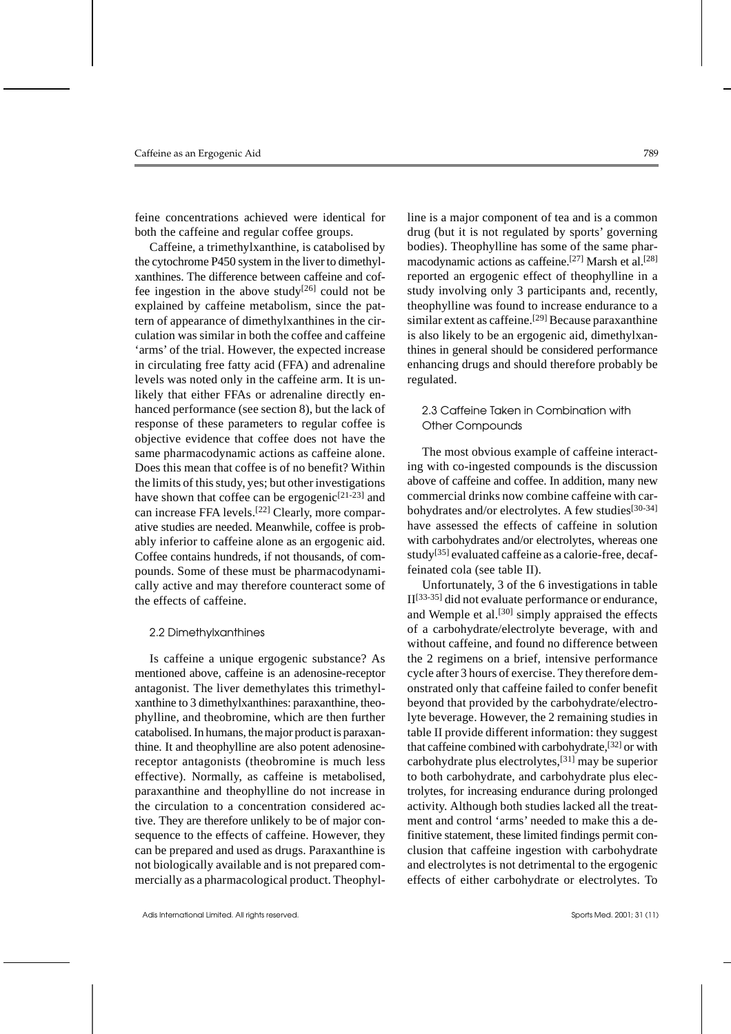feine concentrations achieved were identical for both the caffeine and regular coffee groups.

Caffeine, a trimethylxanthine, is catabolised by the cytochrome P450 system in the liver to dimethylxanthines. The difference between caffeine and coffee ingestion in the above study<sup>[26]</sup> could not be explained by caffeine metabolism, since the pattern of appearance of dimethylxanthines in the circulation was similar in both the coffee and caffeine 'arms' of the trial. However, the expected increase in circulating free fatty acid (FFA) and adrenaline levels was noted only in the caffeine arm. It is unlikely that either FFAs or adrenaline directly enhanced performance (see section 8), but the lack of response of these parameters to regular coffee is objective evidence that coffee does not have the same pharmacodynamic actions as caffeine alone. Does this mean that coffee is of no benefit? Within the limits of this study, yes; but other investigations have shown that coffee can be ergogenic<sup>[21-23]</sup> and can increase FFA levels.[22] Clearly, more comparative studies are needed. Meanwhile, coffee is probably inferior to caffeine alone as an ergogenic aid. Coffee contains hundreds, if not thousands, of compounds. Some of these must be pharmacodynamically active and may therefore counteract some of the effects of caffeine.

#### 2.2 Dimethylxanthines

Is caffeine a unique ergogenic substance? As mentioned above, caffeine is an adenosine-receptor antagonist. The liver demethylates this trimethylxanthine to 3 dimethylxanthines: paraxanthine, theophylline, and theobromine, which are then further catabolised. In humans, the major product is paraxanthine. It and theophylline are also potent adenosinereceptor antagonists (theobromine is much less effective). Normally, as caffeine is metabolised, paraxanthine and theophylline do not increase in the circulation to a concentration considered active. They are therefore unlikely to be of major consequence to the effects of caffeine. However, they can be prepared and used as drugs. Paraxanthine is not biologically available and is not prepared commercially as a pharmacological product. Theophyl-

line is a major component of tea and is a common drug (but it is not regulated by sports' governing bodies). Theophylline has some of the same pharmacodynamic actions as caffeine.<sup>[27]</sup> Marsh et al.<sup>[28]</sup> reported an ergogenic effect of theophylline in a study involving only 3 participants and, recently, theophylline was found to increase endurance to a similar extent as caffeine.<sup>[29]</sup> Because paraxanthine is also likely to be an ergogenic aid, dimethylxanthines in general should be considered performance enhancing drugs and should therefore probably be regulated.

#### 2.3 Caffeine Taken in Combination with Other Compounds

The most obvious example of caffeine interacting with co-ingested compounds is the discussion above of caffeine and coffee. In addition, many new commercial drinks now combine caffeine with carbohydrates and/or electrolytes. A few studies<sup>[30-34]</sup> have assessed the effects of caffeine in solution with carbohydrates and/or electrolytes, whereas one study<sup>[35]</sup> evaluated caffeine as a calorie-free, decaffeinated cola (see table II).

Unfortunately, 3 of the 6 investigations in table  $II^{[33-35]}$  did not evaluate performance or endurance, and Wemple et al.<sup>[30]</sup> simply appraised the effects of a carbohydrate/electrolyte beverage, with and without caffeine, and found no difference between the 2 regimens on a brief, intensive performance cycle after 3 hours of exercise. They therefore demonstrated only that caffeine failed to confer benefit beyond that provided by the carbohydrate/electrolyte beverage. However, the 2 remaining studies in table II provide different information: they suggest that caffeine combined with carbohydrate,[32] or with carbohydrate plus electrolytes,[31] may be superior to both carbohydrate, and carbohydrate plus electrolytes, for increasing endurance during prolonged activity. Although both studies lacked all the treatment and control 'arms' needed to make this a definitive statement, these limited findings permit conclusion that caffeine ingestion with carbohydrate and electrolytes is not detrimental to the ergogenic effects of either carbohydrate or electrolytes. To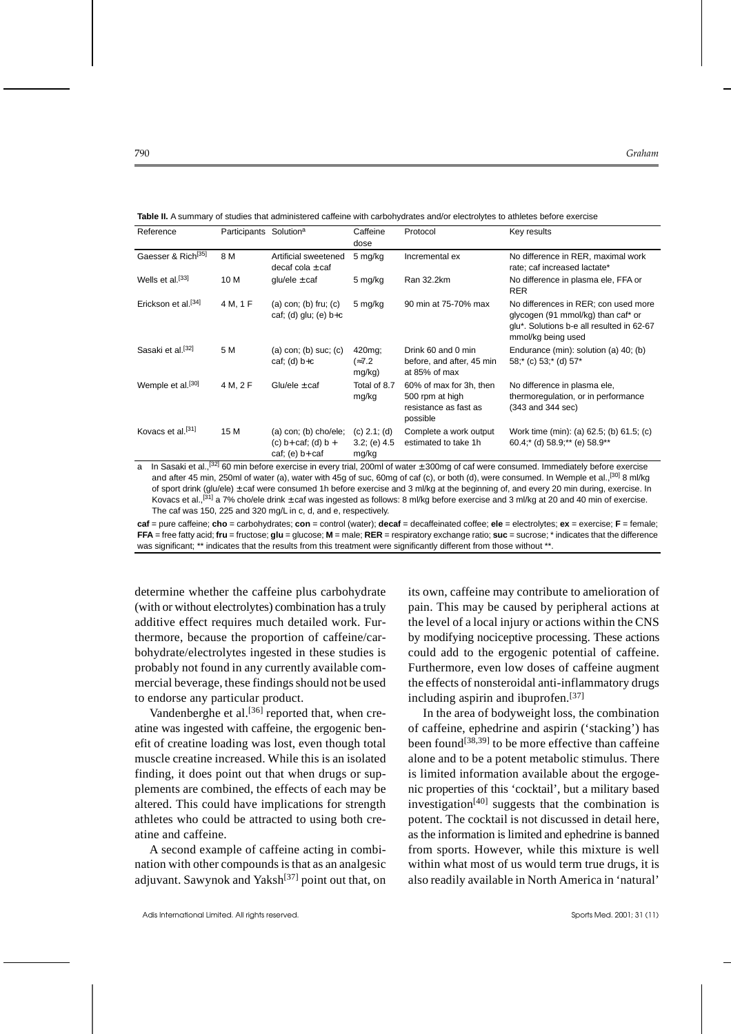| Reference                                    | Participants Solution <sup>a</sup> |                                                                              | Caffeine<br>dose                              | Protocol                                                                        | Key results                                                                                                                                   |
|----------------------------------------------|------------------------------------|------------------------------------------------------------------------------|-----------------------------------------------|---------------------------------------------------------------------------------|-----------------------------------------------------------------------------------------------------------------------------------------------|
| Gaesser & Rich <sup>[35]</sup>               | 8 M                                | Artificial sweetened<br>$decaf cola \pm caf$                                 | 5 mg/kg                                       | Incremental ex                                                                  | No difference in RER, maximal work<br>rate; caf increased lactate*                                                                            |
| Wells et al. <sup>[33]</sup>                 | 10 M                               | $glu/ele \pm caf$                                                            | 5 mg/kg                                       | Ran 32.2km                                                                      | No difference in plasma ele, FFA or<br><b>RER</b>                                                                                             |
| Erickson et al. <sup>[34]</sup>              | 4 M, 1 F                           | $(a)$ con; $(b)$ fru; $(c)$<br>caf; (d) $glu$ ; (e) $b+c$                    | 5 mg/kg                                       | 90 min at 75-70% max                                                            | No differences in RER; con used more<br>glycogen (91 mmol/kg) than caf* or<br>glu*. Solutions b-e all resulted in 62-67<br>mmol/kg being used |
| Sasaki et al. <sup>[32]</sup>                | 5 M                                | $(a)$ con; $(b)$ suc; $(c)$<br>caf; (d) $b+c$                                | 420mg;<br>$\approx 7.2$<br>$mg/kg$ )          | Drink 60 and 0 min<br>before, and after, 45 min<br>at 85% of max                | Endurance (min): solution (a) 40; (b)<br>58;* (c) 53;* (d) 57*                                                                                |
| Wemple et al. <sup>[30]</sup>                | 4 M, 2 F                           | $Glu/ele + caf$                                                              | Total of 8.7<br>mg/kg                         | 60% of max for 3h, then<br>500 rpm at high<br>resistance as fast as<br>possible | No difference in plasma ele,<br>thermoregulation, or in performance<br>(343 and 344 sec)                                                      |
| Kovacs et al. <sup>[31]</sup><br><b>FAMI</b> | 15 M                               | (a) con; (b) cho/ele;<br>(c) $b + \text{caf}$ ; (d) $b +$<br>caf; (e) b+ caf | (c) $2.1$ ; (d)<br>$3.2$ ; (e) $4.5$<br>mg/kg | Complete a work output<br>estimated to take 1h                                  | Work time (min): (a) 62.5; (b) 61.5; (c)<br>60.4;* (d) 58.9;** (e) 58.9**                                                                     |

**Table II.** A summary of studies that administered caffeine with carbohydrates and/or electrolytes to athletes before exercise

a In Sasaki et al.,<sup>[32]</sup> 60 min before exercise in every trial, 200ml of water ± 300mg of caf were consumed. Immediately before exercise and after 45 min, 250ml of water (a), water with 45g of suc, 60mg of caf (c), or both (d), were consumed. In Wemple et al.,[30] 8 ml/kg of sport drink (glu/ele) ± caf were consumed 1h before exercise and 3 ml/kg at the beginning of, and every 20 min during, exercise. In Kovacs et al.,<sup>[31]</sup> a 7% cho/ele drink ± caf was ingested as follows: 8 ml/kg before exercise and 3 ml/kg at 20 and 40 min of exercise. The caf was 150, 225 and 320 mg/L in c, d, and e, respectively.

**caf** = pure caffeine; **cho** = carbohydrates; **con** = control (water); **decaf** = decaffeinated coffee; **ele** = electrolytes; **ex** = exercise; **F** = female; **FFA** = free fatty acid; **fru** = fructose; **glu** = glucose; **M** = male; **RER** = respiratory exchange ratio; **suc** = sucrose; \* indicates that the difference was significant; \*\* indicates that the results from this treatment were significantly different from those without \*\*

determine whether the caffeine plus carbohydrate (with or without electrolytes) combination has a truly additive effect requires much detailed work. Furthermore, because the proportion of caffeine/carbohydrate/electrolytes ingested in these studies is probably not found in any currently available commercial beverage, these findings should not be used to endorse any particular product.

Vandenberghe et al. $[36]$  reported that, when creatine was ingested with caffeine, the ergogenic benefit of creatine loading was lost, even though total muscle creatine increased. While this is an isolated finding, it does point out that when drugs or supplements are combined, the effects of each may be altered. This could have implications for strength athletes who could be attracted to using both creatine and caffeine.

A second example of caffeine acting in combination with other compounds is that as an analgesic adjuvant. Sawynok and Yaksh<sup>[37]</sup> point out that, on its own, caffeine may contribute to amelioration of pain. This may be caused by peripheral actions at the level of a local injury or actions within the CNS by modifying nociceptive processing. These actions could add to the ergogenic potential of caffeine. Furthermore, even low doses of caffeine augment the effects of nonsteroidal anti-inflammatory drugs including aspirin and ibuprofen.[37]

In the area of bodyweight loss, the combination of caffeine, ephedrine and aspirin ('stacking') has been found<sup>[38,39]</sup> to be more effective than caffeine alone and to be a potent metabolic stimulus. There is limited information available about the ergogenic properties of this 'cocktail', but a military based investigation<sup>[40]</sup> suggests that the combination is potent. The cocktail is not discussed in detail here, as the information is limited and ephedrine is banned from sports. However, while this mixture is well within what most of us would term true drugs, it is also readily available in North America in 'natural'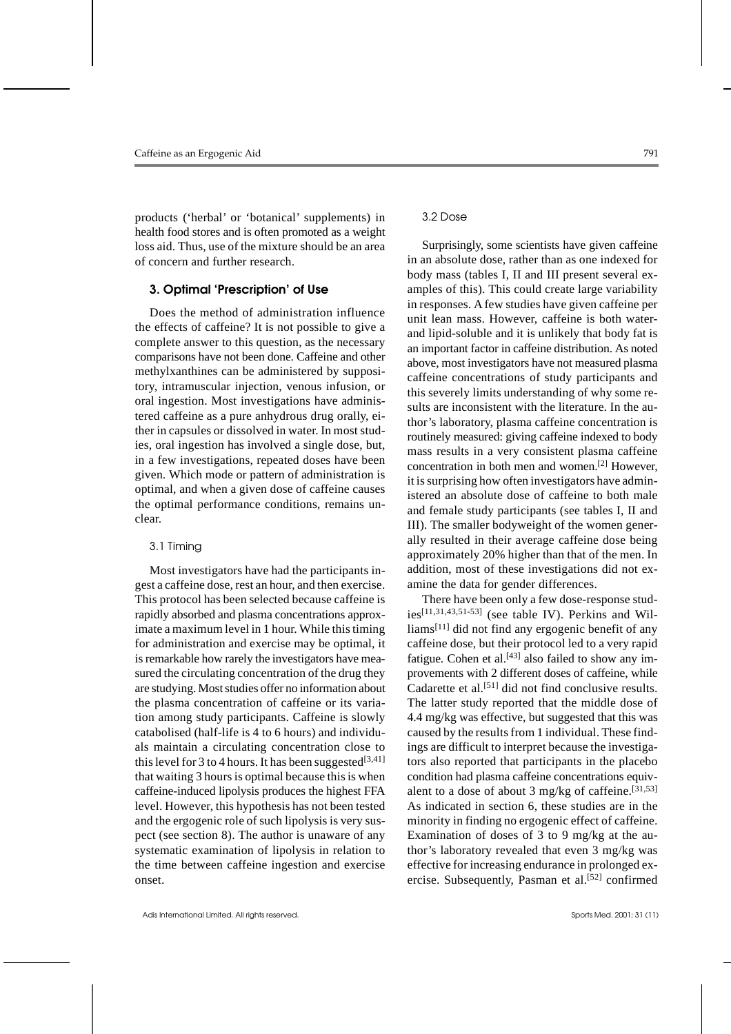products ('herbal' or 'botanical' supplements) in health food stores and is often promoted as a weight loss aid. Thus, use of the mixture should be an area of concern and further research.

#### **3. Optimal 'Prescription' of Use**

Does the method of administration influence the effects of caffeine? It is not possible to give a complete answer to this question, as the necessary comparisons have not been done. Caffeine and other methylxanthines can be administered by suppository, intramuscular injection, venous infusion, or oral ingestion. Most investigations have administered caffeine as a pure anhydrous drug orally, either in capsules or dissolved in water. In most studies, oral ingestion has involved a single dose, but, in a few investigations, repeated doses have been given. Which mode or pattern of administration is optimal, and when a given dose of caffeine causes the optimal performance conditions, remains unclear.

#### 3.1 Timing

Most investigators have had the participants ingest a caffeine dose, rest an hour, and then exercise. This protocol has been selected because caffeine is rapidly absorbed and plasma concentrations approximate a maximum level in 1 hour. While this timing for administration and exercise may be optimal, it is remarkable how rarely the investigators have measured the circulating concentration of the drug they are studying. Most studies offer no information about the plasma concentration of caffeine or its variation among study participants. Caffeine is slowly catabolised (half-life is 4 to 6 hours) and individuals maintain a circulating concentration close to this level for 3 to 4 hours. It has been suggested<sup>[3,41]</sup> that waiting 3 hours is optimal because this is when caffeine-induced lipolysis produces the highest FFA level. However, this hypothesis has not been tested and the ergogenic role of such lipolysis is very suspect (see section 8). The author is unaware of any systematic examination of lipolysis in relation to the time between caffeine ingestion and exercise onset.

#### 3.2 Dose

Surprisingly, some scientists have given caffeine in an absolute dose, rather than as one indexed for body mass (tables I, II and III present several examples of this). This could create large variability in responses. A few studies have given caffeine per unit lean mass. However, caffeine is both waterand lipid-soluble and it is unlikely that body fat is an important factor in caffeine distribution. As noted above, most investigators have not measured plasma caffeine concentrations of study participants and this severely limits understanding of why some results are inconsistent with the literature. In the author's laboratory, plasma caffeine concentration is routinely measured: giving caffeine indexed to body mass results in a very consistent plasma caffeine concentration in both men and women.[2] However, it is surprising how often investigators have administered an absolute dose of caffeine to both male and female study participants (see tables I, II and III). The smaller bodyweight of the women generally resulted in their average caffeine dose being approximately 20% higher than that of the men. In addition, most of these investigations did not examine the data for gender differences.

There have been only a few dose-response studies<sup>[11,31,43,51-53]</sup> (see table IV). Perkins and Wil- $\text{liams}^{[11]}$  did not find any ergogenic benefit of any caffeine dose, but their protocol led to a very rapid fatigue. Cohen et al. $[43]$  also failed to show any improvements with 2 different doses of caffeine, while Cadarette et al.[51] did not find conclusive results. The latter study reported that the middle dose of 4.4 mg/kg was effective, but suggested that this was caused by the results from 1 individual. These findings are difficult to interpret because the investigators also reported that participants in the placebo condition had plasma caffeine concentrations equivalent to a dose of about 3 mg/kg of caffeine.<sup>[31,53]</sup> As indicated in section 6, these studies are in the minority in finding no ergogenic effect of caffeine. Examination of doses of 3 to 9 mg/kg at the author's laboratory revealed that even 3 mg/kg was effective for increasing endurance in prolonged exercise. Subsequently, Pasman et al.<sup>[52]</sup> confirmed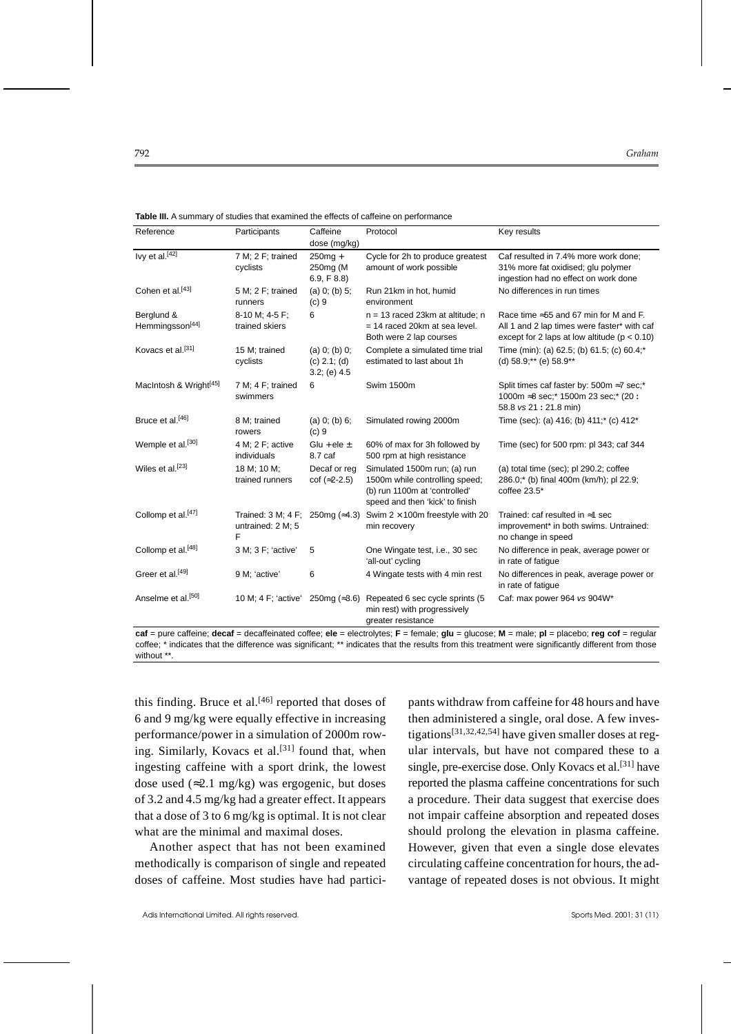| Reference                                                                                                                                                            | Participants                                 | Caffeine<br>dose (mg/kg)                               | Protocol                                                                                                                           | Key results                                                                                                                                       |  |  |
|----------------------------------------------------------------------------------------------------------------------------------------------------------------------|----------------------------------------------|--------------------------------------------------------|------------------------------------------------------------------------------------------------------------------------------------|---------------------------------------------------------------------------------------------------------------------------------------------------|--|--|
| lvy et al. <sup>[42]</sup>                                                                                                                                           | 7 M; 2 F; trained<br>cyclists                | $250$ mg +<br>250mg (M<br>6.9, F.8.8                   | Cycle for 2h to produce greatest<br>amount of work possible                                                                        | Caf resulted in 7.4% more work done;<br>31% more fat oxidised; glu polymer<br>ingestion had no effect on work done                                |  |  |
| Cohen et al. <sup>[43]</sup>                                                                                                                                         | 5 M; 2 F; trained<br>runners                 | $(a) 0$ ; (b) 5;<br>(c)9                               | Run 21km in hot, humid<br>environment                                                                                              | No differences in run times                                                                                                                       |  |  |
| Berglund &<br>Hemmingsson <sup>[44]</sup>                                                                                                                            | 8-10 M; 4-5 F;<br>trained skiers             | 6                                                      | $n = 13$ raced 23km at altitude; n<br>$= 14$ raced 20 km at sea level.<br>Both were 2 lap courses                                  | Race time $\approx$ 55 and 67 min for M and F.<br>All 1 and 2 lap times were faster* with caf<br>except for 2 laps at low altitude ( $p < 0.10$ ) |  |  |
| Kovacs et al. <sup>[31]</sup>                                                                                                                                        | 15 M; trained<br>cyclists                    | $(a) 0$ ; (b) 0;<br>$(c)$ 2.1; $(d)$<br>$3.2; (e)$ 4.5 | Complete a simulated time trial<br>estimated to last about 1h                                                                      | Time (min): (a) 62.5; (b) 61.5; (c) 60.4;*<br>(d) 58.9;** (e) 58.9**                                                                              |  |  |
| MacIntosh & Wright <sup>[45]</sup>                                                                                                                                   | 7 M; 4 F; trained<br>swimmers                | 6                                                      | <b>Swim 1500m</b>                                                                                                                  | Split times caf faster by: 500m ≈7 sec;*<br>1000m ≈8 sec;* 1500m 23 sec;* (20:<br>58.8 vs 21:21.8 min)                                            |  |  |
| Bruce et al. <sup>[46]</sup>                                                                                                                                         | 8 M; trained<br>rowers                       | $(a) 0$ ; (b) 6;<br>(c)9                               | Simulated rowing 2000m                                                                                                             | Time (sec): (a) 416; (b) 411;* (c) 412*                                                                                                           |  |  |
| Wemple et al. <sup>[30]</sup>                                                                                                                                        | 4 M; 2 F; active<br>individuals              | Glu + ele $\pm$<br>8.7 caf                             | 60% of max for 3h followed by<br>500 rpm at high resistance                                                                        | Time (sec) for 500 rpm: pl 343; caf 344                                                                                                           |  |  |
| Wiles et al. <sup>[23]</sup>                                                                                                                                         | 18 M; 10 M;<br>trained runners               | Decaf or reg<br>$cof (=2-2.5)$                         | Simulated 1500m run; (a) run<br>1500m while controlling speed;<br>(b) run 1100m at 'controlled'<br>speed and then 'kick' to finish | (a) total time (sec); pl 290.2; coffee<br>286.0;* (b) final 400m (km/h); pl 22.9;<br>coffee 23.5*                                                 |  |  |
| Collomp et al. <sup>[47]</sup>                                                                                                                                       | Trained: 3 M; 4 F;<br>untrained: 2 M; 5<br>F |                                                        | 250mg ( $\approx$ 4.3) Swim 2 $\times$ 100m freestyle with 20<br>min recovery                                                      | Trained: caf resulted in $\approx$ 1 sec<br>improvement* in both swims. Untrained:<br>no change in speed                                          |  |  |
| Collomp et al. <sup>[48]</sup>                                                                                                                                       | 3 M; 3 F; 'active'                           | 5                                                      | One Wingate test, i.e., 30 sec<br>'all-out' cycling                                                                                | No difference in peak, average power or<br>in rate of fatique                                                                                     |  |  |
| Greer et al. <sup>[49]</sup>                                                                                                                                         | 9 M; 'active'                                | 6                                                      | 4 Wingate tests with 4 min rest                                                                                                    | No differences in peak, average power or<br>in rate of fatigue                                                                                    |  |  |
| Anselme et al. <sup>[50]</sup>                                                                                                                                       |                                              |                                                        | 10 M; 4 F; 'active' 250mg (≈3.6) Repeated 6 sec cycle sprints (5<br>min rest) with progressively<br>greater resistance             | Caf: max power 964 vs 904W*                                                                                                                       |  |  |
| $cat = pure$ caffeine: $decat = decaffeinated$ coffee: $ele = electricloutes$ : $F = female$ : $alu = blueose$ : $M = male$ : $pl = placebo$ : $rea$ $cof$ = regular |                                              |                                                        |                                                                                                                                    |                                                                                                                                                   |  |  |

**Table III.** A summary of studies that examined the effects of caffeine on performance

**caf** = pure caffeine; **decaf** = decaffeinated coffee; **ele** = electrolytes; **F** = female; **glu** = glucose; **M** = male; **pl** = placebo; **reg cof** = regular coffee; \* indicates that the difference was significant; \*\* indicates that the results from this treatment were significantly different from those without \*\*.

this finding. Bruce et al. $[46]$  reported that doses of 6 and 9 mg/kg were equally effective in increasing performance/power in a simulation of 2000m rowing. Similarly, Kovacs et al.[31] found that, when ingesting caffeine with a sport drink, the lowest dose used  $(\approx 2.1 \text{ mg/kg})$  was ergogenic, but doses of 3.2 and 4.5 mg/kg had a greater effect. It appears that a dose of 3 to 6 mg/kg is optimal. It is not clear what are the minimal and maximal doses.

Another aspect that has not been examined methodically is comparison of single and repeated doses of caffeine. Most studies have had participants withdraw from caffeine for 48 hours and have then administered a single, oral dose. A few investigations<sup>[31,32,42,54]</sup> have given smaller doses at regular intervals, but have not compared these to a single, pre-exercise dose. Only Kovacs et al.[31] have reported the plasma caffeine concentrations for such a procedure. Their data suggest that exercise does not impair caffeine absorption and repeated doses should prolong the elevation in plasma caffeine. However, given that even a single dose elevates circulating caffeine concentration for hours, the advantage of repeated doses is not obvious. It might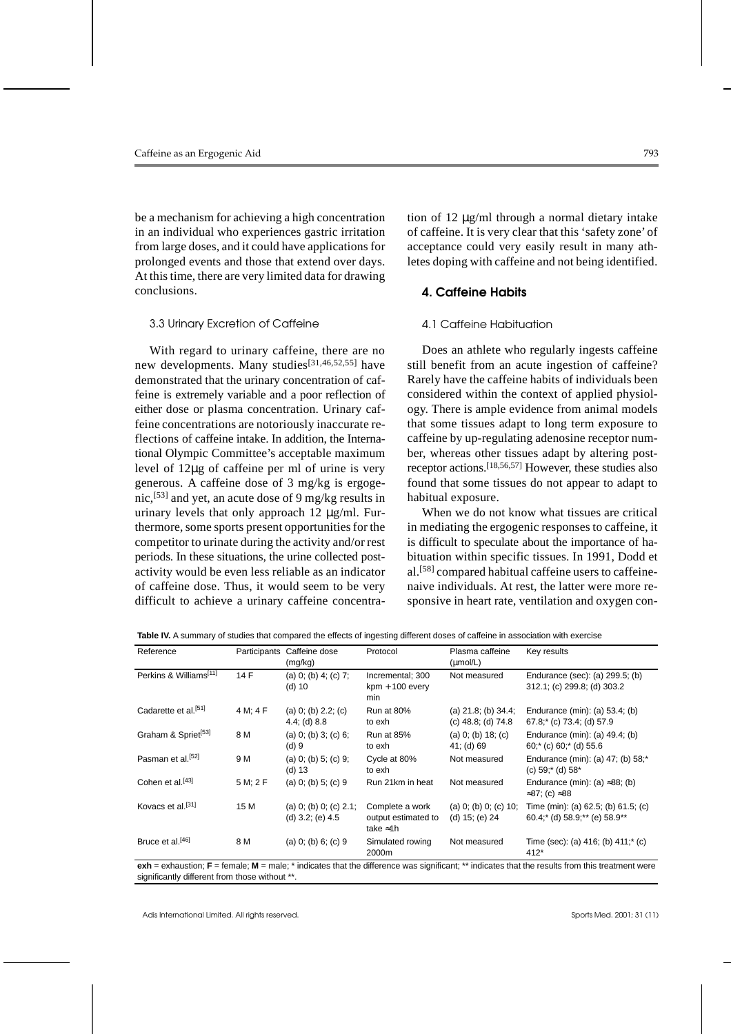be a mechanism for achieving a high concentration in an individual who experiences gastric irritation from large doses, and it could have applications for prolonged events and those that extend over days. At this time, there are very limited data for drawing conclusions.

#### 3.3 Urinary Excretion of Caffeine

With regard to urinary caffeine, there are no new developments. Many studies[31,46,52,55] have demonstrated that the urinary concentration of caffeine is extremely variable and a poor reflection of either dose or plasma concentration. Urinary caffeine concentrations are notoriously inaccurate reflections of caffeine intake. In addition, the International Olympic Committee's acceptable maximum level of 12µg of caffeine per ml of urine is very generous. A caffeine dose of 3 mg/kg is ergogenic,[53] and yet, an acute dose of 9 mg/kg results in urinary levels that only approach 12 µg/ml. Furthermore, some sports present opportunities for the competitor to urinate during the activity and/or rest periods. In these situations, the urine collected postactivity would be even less reliable as an indicator of caffeine dose. Thus, it would seem to be very difficult to achieve a urinary caffeine concentration of 12 µg/ml through a normal dietary intake of caffeine. It is very clear that this 'safety zone' of acceptance could very easily result in many athletes doping with caffeine and not being identified.

#### **4. Caffeine Habits**

#### 4.1 Caffeine Habituation

Does an athlete who regularly ingests caffeine still benefit from an acute ingestion of caffeine? Rarely have the caffeine habits of individuals been considered within the context of applied physiology. There is ample evidence from animal models that some tissues adapt to long term exposure to caffeine by up-regulating adenosine receptor number, whereas other tissues adapt by altering postreceptor actions.[18,56,57] However, these studies also found that some tissues do not appear to adapt to habitual exposure.

When we do not know what tissues are critical in mediating the ergogenic responses to caffeine, it is difficult to speculate about the importance of habituation within specific tissues. In 1991, Dodd et al.[58] compared habitual caffeine users to caffeinenaive individuals. At rest, the latter were more responsive in heart rate, ventilation and oxygen con-

| Reference                          |          | Participants Caffeine dose<br>(mg/kg)              | Protocol                                                    | Plasma caffeine<br>$(\mu \text{mol/L})$         | Key results                                                          |
|------------------------------------|----------|----------------------------------------------------|-------------------------------------------------------------|-------------------------------------------------|----------------------------------------------------------------------|
| Perkins & Williams <sup>[11]</sup> | 14 F     | (a) 0; (b) 4; (c) 7;<br>(d) 10                     | Incremental; 300<br>$kpm + 100$ every<br>min                | Not measured                                    | Endurance (sec): (a) 299.5; (b)<br>312.1; (c) 299.8; (d) 303.2       |
| Cadarette et al. <sup>[51]</sup>   | 4 M: 4 F | (a) 0; (b) $2.2$ ; (c)<br>$4.4$ ; (d) $8.8$        | <b>Run at 80%</b><br>to exh                                 | (a) $21.8$ ; (b) $34.4$ ;<br>(c) 48.8; (d) 74.8 | Endurance (min): (a) 53.4; (b)<br>67.8;* (c) 73.4; (d) 57.9          |
| Graham & Spriet <sup>[53]</sup>    | 8 M      | (a) 0; (b) 3; (c) 6;<br>(d)9                       | <b>Run at 85%</b><br>to exh                                 | (a) 0; (b) $18$ ; (c)<br>41; (d) 69             | Endurance (min): (a) 49.4; (b)<br>$60$ ;* (c) $60$ ;* (d) 55.6       |
| Pasman et al. <sup>[52]</sup>      | 9 M      | (a) 0; (b) 5; (c) 9;<br>(d) 13                     | Cycle at 80%<br>to exh                                      | Not measured                                    | Endurance (min): (a) 47; (b) 58;*<br>(c) 59;* (d) 58*                |
| Cohen et al. <sup>[43]</sup>       | 5 M; 2 F | (a) 0; (b) 5; (c) 9                                | Run 21km in heat                                            | Not measured                                    | Endurance (min): (a) $\approx$ 88; (b)<br>≈87; (c) ≈88               |
| Kovacs et al. <sup>[31]</sup>      | 15 M     | (a) 0; (b) 0; (c) $2.1$ ;<br>(d) $3.2$ ; (e) $4.5$ | Complete a work<br>output estimated to<br>take $\approx$ 1h | (a) 0; (b) 0; (c) 10;<br>(d) 15; (e) 24         | Time (min): (a) 62.5; (b) 61.5; (c)<br>60.4;* (d) 58.9;** (e) 58.9** |
| Bruce et al. <sup>[46]</sup>       | 8 M      | (a) $0$ ; (b) $6$ ; (c) $9$                        | Simulated rowing<br>2000m                                   | Not measured                                    | Time (sec): (a) 416; (b) 411;* (c)<br>$412*$                         |

**Table IV.** A summary of studies that compared the effects of ingesting different doses of caffeine in association with exercise

**exh** = exhaustion; **F** = female; **M** = male; \* indicates that the difference was significant; \*\* indicates that the results from this treatment were significantly different from those without \*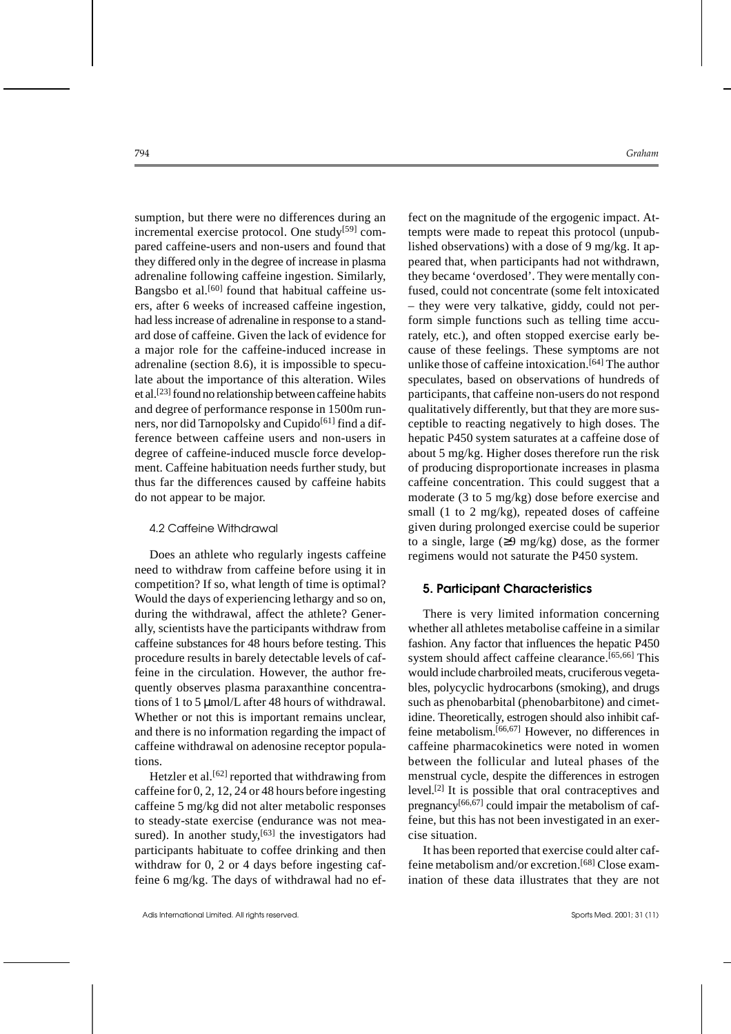sumption, but there were no differences during an incremental exercise protocol. One study<sup>[59]</sup> compared caffeine-users and non-users and found that they differed only in the degree of increase in plasma adrenaline following caffeine ingestion. Similarly, Bangsbo et al.<sup>[60]</sup> found that habitual caffeine users, after 6 weeks of increased caffeine ingestion, had less increase of adrenaline in response to a standard dose of caffeine. Given the lack of evidence for a major role for the caffeine-induced increase in adrenaline (section 8.6), it is impossible to speculate about the importance of this alteration. Wiles et al.[23] found no relationship between caffeine habits and degree of performance response in 1500m runners, nor did Tarnopolsky and Cupido<sup>[61]</sup> find a difference between caffeine users and non-users in degree of caffeine-induced muscle force development. Caffeine habituation needs further study, but thus far the differences caused by caffeine habits do not appear to be major.

#### 4.2 Caffeine Withdrawal

Does an athlete who regularly ingests caffeine need to withdraw from caffeine before using it in competition? If so, what length of time is optimal? Would the days of experiencing lethargy and so on, during the withdrawal, affect the athlete? Generally, scientists have the participants withdraw from caffeine substances for 48 hours before testing. This procedure results in barely detectable levels of caffeine in the circulation. However, the author frequently observes plasma paraxanthine concentrations of 1 to 5 µmol/L after 48 hours of withdrawal. Whether or not this is important remains unclear, and there is no information regarding the impact of caffeine withdrawal on adenosine receptor populations.

Hetzler et al.<sup>[62]</sup> reported that withdrawing from caffeine for 0, 2, 12, 24 or 48 hours before ingesting caffeine 5 mg/kg did not alter metabolic responses to steady-state exercise (endurance was not measured). In another study,  $[63]$  the investigators had participants habituate to coffee drinking and then withdraw for 0, 2 or 4 days before ingesting caffeine 6 mg/kg. The days of withdrawal had no effect on the magnitude of the ergogenic impact. Attempts were made to repeat this protocol (unpublished observations) with a dose of 9 mg/kg. It appeared that, when participants had not withdrawn, they became 'overdosed'. They were mentally confused, could not concentrate (some felt intoxicated – they were very talkative, giddy, could not perform simple functions such as telling time accurately, etc.), and often stopped exercise early because of these feelings. These symptoms are not unlike those of caffeine intoxication.[64] The author speculates, based on observations of hundreds of participants, that caffeine non-users do not respond qualitatively differently, but that they are more susceptible to reacting negatively to high doses. The hepatic P450 system saturates at a caffeine dose of about 5 mg/kg. Higher doses therefore run the risk of producing disproportionate increases in plasma caffeine concentration. This could suggest that a moderate (3 to 5 mg/kg) dose before exercise and small (1 to 2 mg/kg), repeated doses of caffeine given during prolonged exercise could be superior to a single, large  $(≥9 \text{ mg/kg})$  dose, as the former regimens would not saturate the P450 system.

#### **5. Participant Characteristics**

There is very limited information concerning whether all athletes metabolise caffeine in a similar fashion. Any factor that influences the hepatic P450 system should affect caffeine clearance.<sup>[65,66]</sup> This would include charbroiled meats, cruciferous vegetables, polycyclic hydrocarbons (smoking), and drugs such as phenobarbital (phenobarbitone) and cimetidine. Theoretically, estrogen should also inhibit caffeine metabolism.[66,67] However, no differences in caffeine pharmacokinetics were noted in women between the follicular and luteal phases of the menstrual cycle, despite the differences in estrogen level.[2] It is possible that oral contraceptives and pregnancy $[66,67]$  could impair the metabolism of caffeine, but this has not been investigated in an exercise situation.

It has been reported that exercise could alter caffeine metabolism and/or excretion.[68] Close examination of these data illustrates that they are not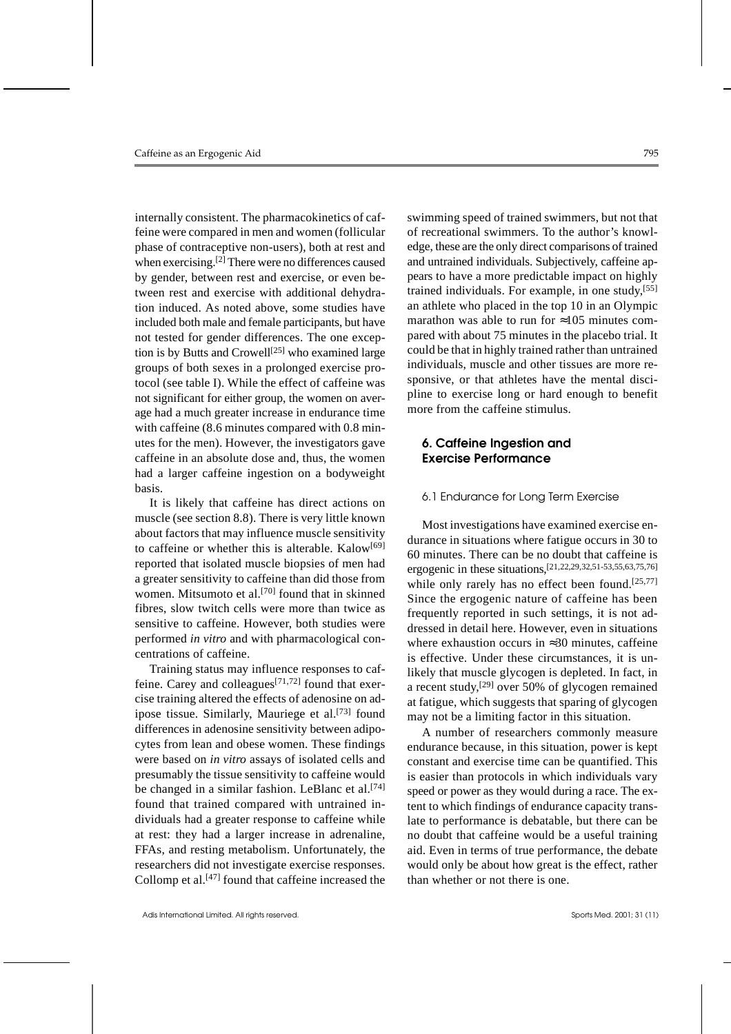internally consistent. The pharmacokinetics of caffeine were compared in men and women (follicular phase of contraceptive non-users), both at rest and when exercising.[2] There were no differences caused by gender, between rest and exercise, or even between rest and exercise with additional dehydration induced. As noted above, some studies have included both male and female participants, but have not tested for gender differences. The one exception is by Butts and Crowell<sup>[25]</sup> who examined large groups of both sexes in a prolonged exercise protocol (see table I). While the effect of caffeine was not significant for either group, the women on average had a much greater increase in endurance time with caffeine (8.6 minutes compared with 0.8 minutes for the men). However, the investigators gave caffeine in an absolute dose and, thus, the women had a larger caffeine ingestion on a bodyweight basis.

It is likely that caffeine has direct actions on muscle (see section 8.8). There is very little known about factors that may influence muscle sensitivity to caffeine or whether this is alterable. Kalow<sup>[69]</sup> reported that isolated muscle biopsies of men had a greater sensitivity to caffeine than did those from women. Mitsumoto et al.<sup>[70]</sup> found that in skinned fibres, slow twitch cells were more than twice as sensitive to caffeine. However, both studies were performed *in vitro* and with pharmacological concentrations of caffeine.

Training status may influence responses to caffeine. Carey and colleagues<sup>[71,72]</sup> found that exercise training altered the effects of adenosine on adipose tissue. Similarly, Mauriege et al.<sup>[73]</sup> found differences in adenosine sensitivity between adipocytes from lean and obese women. These findings were based on *in vitro* assays of isolated cells and presumably the tissue sensitivity to caffeine would be changed in a similar fashion. LeBlanc et al.<sup>[74]</sup> found that trained compared with untrained individuals had a greater response to caffeine while at rest: they had a larger increase in adrenaline, FFAs, and resting metabolism. Unfortunately, the researchers did not investigate exercise responses. Collomp et al. $[47]$  found that caffeine increased the

swimming speed of trained swimmers, but not that of recreational swimmers. To the author's knowledge, these are the only direct comparisons of trained and untrained individuals. Subjectively, caffeine appears to have a more predictable impact on highly trained individuals. For example, in one study,[55] an athlete who placed in the top 10 in an Olympic marathon was able to run for  $\approx 105$  minutes compared with about 75 minutes in the placebo trial. It could be that in highly trained rather than untrained individuals, muscle and other tissues are more responsive, or that athletes have the mental discipline to exercise long or hard enough to benefit more from the caffeine stimulus.

### **6. Caffeine Ingestion and Exercise Performance**

#### 6.1 Endurance for Long Term Exercise

Most investigations have examined exercise endurance in situations where fatigue occurs in 30 to 60 minutes. There can be no doubt that caffeine is ergogenic in these situations.<sup>[21,22,29,32,51-53,55,63,75,76]</sup> while only rarely has no effect been found.<sup>[25,77]</sup> Since the ergogenic nature of caffeine has been frequently reported in such settings, it is not addressed in detail here. However, even in situations where exhaustion occurs in ≈30 minutes, caffeine is effective. Under these circumstances, it is unlikely that muscle glycogen is depleted. In fact, in a recent study,[29] over 50% of glycogen remained at fatigue, which suggests that sparing of glycogen may not be a limiting factor in this situation.

A number of researchers commonly measure endurance because, in this situation, power is kept constant and exercise time can be quantified. This is easier than protocols in which individuals vary speed or power as they would during a race. The extent to which findings of endurance capacity translate to performance is debatable, but there can be no doubt that caffeine would be a useful training aid. Even in terms of true performance, the debate would only be about how great is the effect, rather than whether or not there is one.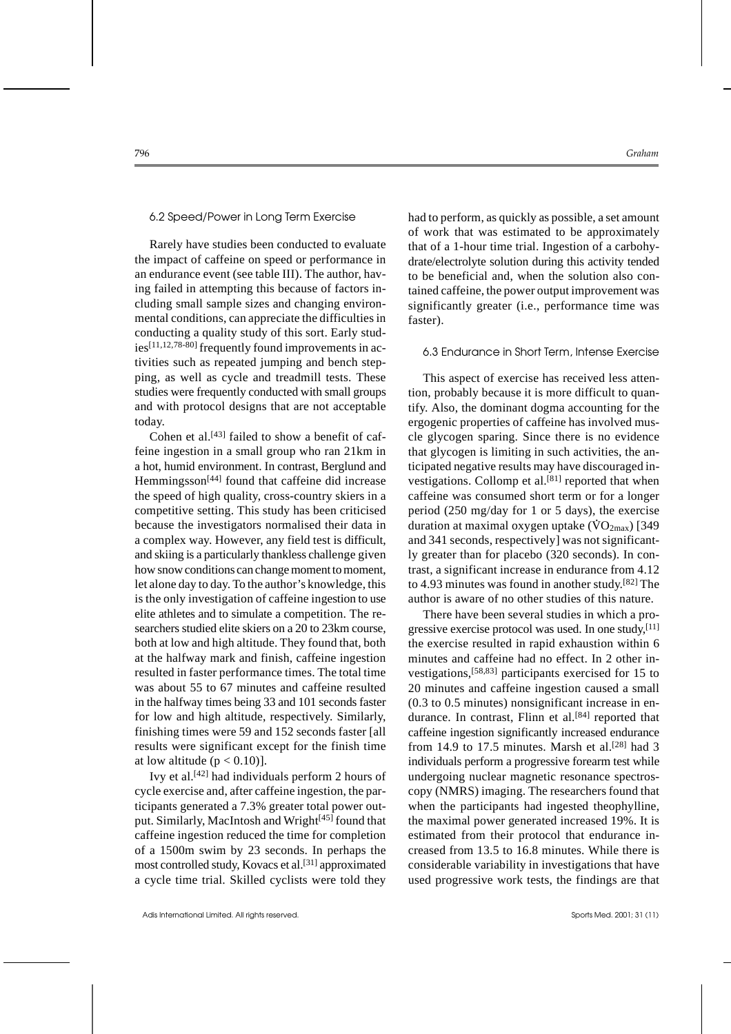#### 6.2 Speed/Power in Long Term Exercise

Rarely have studies been conducted to evaluate the impact of caffeine on speed or performance in an endurance event (see table III). The author, having failed in attempting this because of factors including small sample sizes and changing environmental conditions, can appreciate the difficulties in conducting a quality study of this sort. Early studies[11,12,78-80] frequently found improvements in activities such as repeated jumping and bench stepping, as well as cycle and treadmill tests. These studies were frequently conducted with small groups and with protocol designs that are not acceptable today.

Cohen et al.<sup>[43]</sup> failed to show a benefit of caffeine ingestion in a small group who ran 21km in a hot, humid environment. In contrast, Berglund and Hemmingsson<sup>[44]</sup> found that caffeine did increase the speed of high quality, cross-country skiers in a competitive setting. This study has been criticised because the investigators normalised their data in a complex way. However, any field test is difficult, and skiing is a particularly thankless challenge given how snow conditions can change moment to moment, let alone day to day. To the author's knowledge, this is the only investigation of caffeine ingestion to use elite athletes and to simulate a competition. The researchers studied elite skiers on a 20 to 23km course, both at low and high altitude. They found that, both at the halfway mark and finish, caffeine ingestion resulted in faster performance times. The total time was about 55 to 67 minutes and caffeine resulted in the halfway times being 33 and 101 seconds faster for low and high altitude, respectively. Similarly, finishing times were 59 and 152 seconds faster [all results were significant except for the finish time at low altitude  $(p < 0.10)$ ].

Ivy et al.[42] had individuals perform 2 hours of cycle exercise and, after caffeine ingestion, the participants generated a 7.3% greater total power output. Similarly, MacIntosh and Wright<sup>[45]</sup> found that caffeine ingestion reduced the time for completion of a 1500m swim by 23 seconds. In perhaps the most controlled study, Kovacs et al.[31] approximated a cycle time trial. Skilled cyclists were told they had to perform, as quickly as possible, a set amount of work that was estimated to be approximately that of a 1-hour time trial. Ingestion of a carbohydrate/electrolyte solution during this activity tended to be beneficial and, when the solution also contained caffeine, the power output improvement was significantly greater (i.e., performance time was faster).

#### 6.3 Endurance in Short Term, Intense Exercise

This aspect of exercise has received less attention, probably because it is more difficult to quantify. Also, the dominant dogma accounting for the ergogenic properties of caffeine has involved muscle glycogen sparing. Since there is no evidence that glycogen is limiting in such activities, the anticipated negative results may have discouraged investigations. Collomp et al.<sup>[81]</sup> reported that when caffeine was consumed short term or for a longer period (250 mg/day for 1 or 5 days), the exercise  $\frac{1}{200}$  mg/day for 1 of 3 days), the exercised<br>duration at maximal oxygen uptake  $(\rm{VO}_{2max})$  [349 and 341 seconds, respectively] was not significantly greater than for placebo (320 seconds). In contrast, a significant increase in endurance from 4.12 to 4.93 minutes was found in another study.[82] The author is aware of no other studies of this nature.

There have been several studies in which a progressive exercise protocol was used. In one study,[11] the exercise resulted in rapid exhaustion within 6 minutes and caffeine had no effect. In 2 other investigations,[58,83] participants exercised for 15 to 20 minutes and caffeine ingestion caused a small (0.3 to 0.5 minutes) nonsignificant increase in endurance. In contrast, Flinn et al. $[84]$  reported that caffeine ingestion significantly increased endurance from 14.9 to 17.5 minutes. Marsh et al.<sup>[28]</sup> had 3 individuals perform a progressive forearm test while undergoing nuclear magnetic resonance spectroscopy (NMRS) imaging. The researchers found that when the participants had ingested theophylline, the maximal power generated increased 19%. It is estimated from their protocol that endurance increased from 13.5 to 16.8 minutes. While there is considerable variability in investigations that have used progressive work tests, the findings are that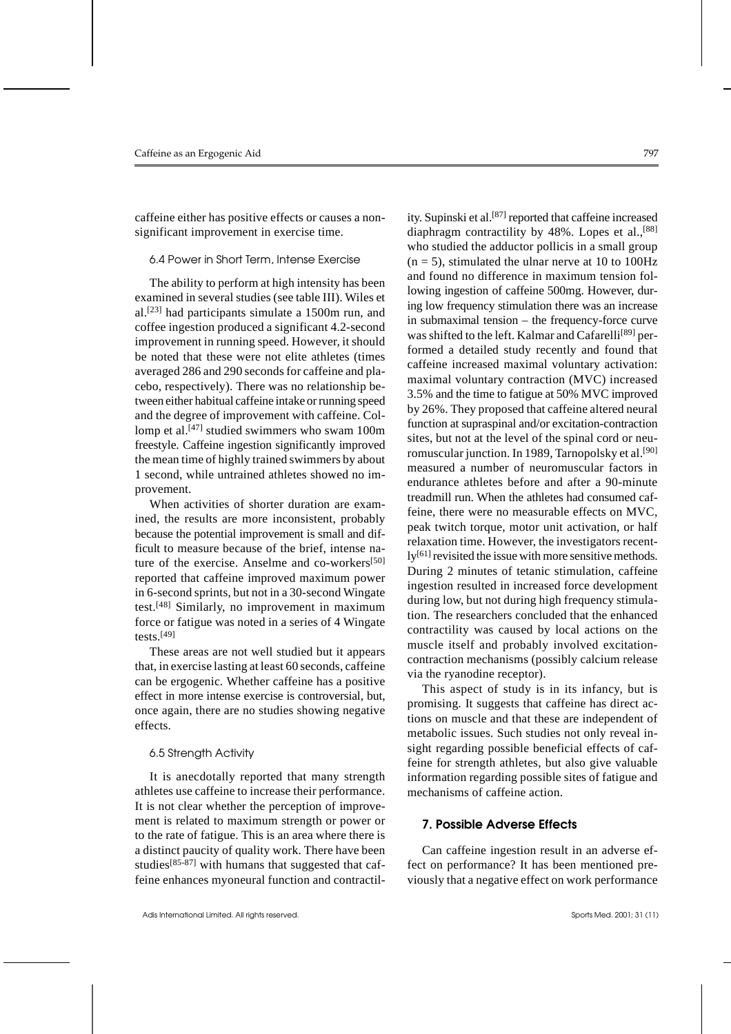caffeine either has positive effects or causes a nonsignificant improvement in exercise time.

#### 6.4 Power in Short Term, Intense Exercise

The ability to perform at high intensity has been examined in several studies (see table III). Wiles et al.<sup>[23]</sup> had participants simulate a 1500m run, and coffee ingestion produced a significant 4.2-second improvement in running speed. However, it should be noted that these were not elite athletes (times averaged 286 and 290 seconds for caffeine and placebo, respectively). There was no relationship between either habitual caffeine intake or running speed and the degree of improvement with caffeine. Collomp et al.<sup>[47]</sup> studied swimmers who swam 100m freestyle. Caffeine ingestion significantly improved the mean time of highly trained swimmers by about 1 second, while untrained athletes showed no improvement.

When activities of shorter duration are examined, the results are more inconsistent, probably because the potential improvement is small and difficult to measure because of the brief, intense nature of the exercise. Anselme and  $co$ -workers<sup>[50]</sup> reported that caffeine improved maximum power in 6-second sprints, but not in a 30-second Wingate test.[48] Similarly, no improvement in maximum force or fatigue was noted in a series of 4 Wingate tests.[49]

These areas are not well studied but it appears that, in exercise lasting at least 60 seconds, caffeine can be ergogenic. Whether caffeine has a positive effect in more intense exercise is controversial, but, once again, there are no studies showing negative effects.

#### 6.5 Strength Activity

It is anecdotally reported that many strength athletes use caffeine to increase their performance. It is not clear whether the perception of improvement is related to maximum strength or power or to the rate of fatigue. This is an area where there is a distinct paucity of quality work. There have been studies<sup>[85-87]</sup> with humans that suggested that caffeine enhances myoneural function and contractil-

ity. Supinski et al.<sup>[87]</sup> reported that caffeine increased diaphragm contractility by 48%. Lopes et al.,<sup>[88]</sup> who studied the adductor pollicis in a small group  $(n = 5)$ , stimulated the ulnar nerve at 10 to 100Hz and found no difference in maximum tension following ingestion of caffeine 500mg. However, during low frequency stimulation there was an increase in submaximal tension – the frequency-force curve was shifted to the left. Kalmar and Cafarelli<sup>[89]</sup> performed a detailed study recently and found that caffeine increased maximal voluntary activation: maximal voluntary contraction (MVC) increased 3.5% and the time to fatigue at 50% MVC improved by 26%. They proposed that caffeine altered neural function at supraspinal and/or excitation-contraction sites, but not at the level of the spinal cord or neuromuscular junction. In 1989, Tarnopolsky et al.<sup>[90]</sup> measured a number of neuromuscular factors in endurance athletes before and after a 90-minute treadmill run. When the athletes had consumed caffeine, there were no measurable effects on MVC, peak twitch torque, motor unit activation, or half relaxation time. However, the investigators recently<sup>[61]</sup> revisited the issue with more sensitive methods. During 2 minutes of tetanic stimulation, caffeine ingestion resulted in increased force development during low, but not during high frequency stimulation. The researchers concluded that the enhanced contractility was caused by local actions on the muscle itself and probably involved excitationcontraction mechanisms (possibly calcium release via the ryanodine receptor).

This aspect of study is in its infancy, but is promising. It suggests that caffeine has direct actions on muscle and that these are independent of metabolic issues. Such studies not only reveal insight regarding possible beneficial effects of caffeine for strength athletes, but also give valuable information regarding possible sites of fatigue and mechanisms of caffeine action.

#### **7. Possible Adverse Effects**

Can caffeine ingestion result in an adverse effect on performance? It has been mentioned previously that a negative effect on work performance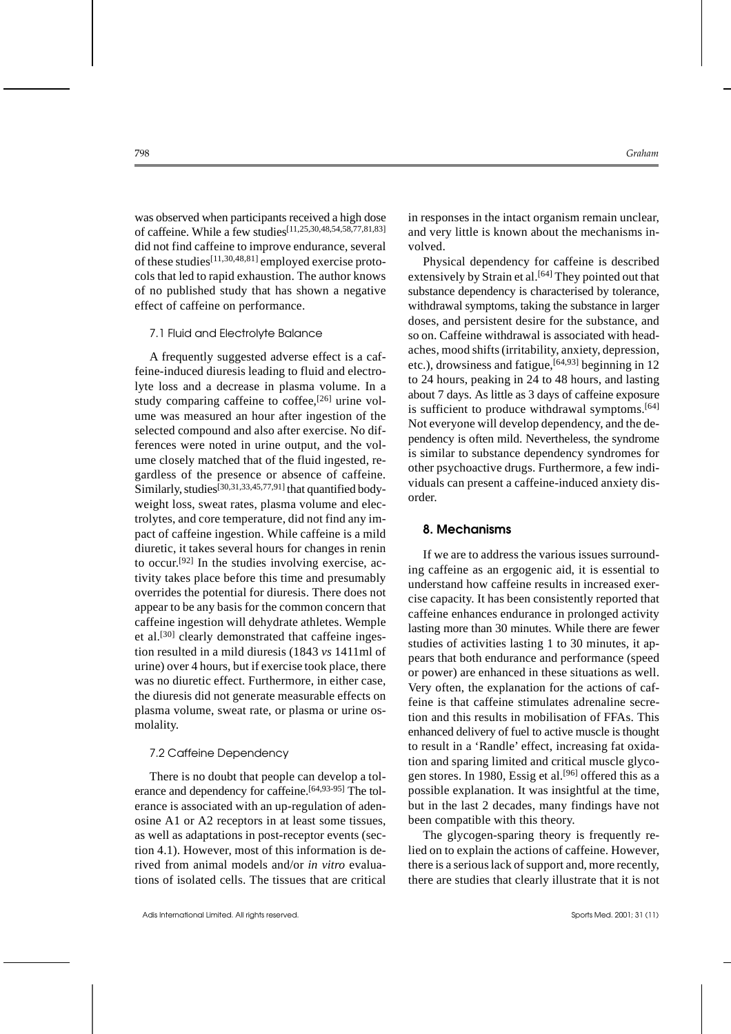was observed when participants received a high dose of caffeine. While a few studies[11,25,30,48,54,58,77,81,83] did not find caffeine to improve endurance, several of these studies[11,30,48,81] employed exercise protocols that led to rapid exhaustion. The author knows of no published study that has shown a negative effect of caffeine on performance.

#### 7.1 Fluid and Electrolyte Balance

A frequently suggested adverse effect is a caffeine-induced diuresis leading to fluid and electrolyte loss and a decrease in plasma volume. In a study comparing caffeine to coffee.<sup>[26]</sup> urine volume was measured an hour after ingestion of the selected compound and also after exercise. No differences were noted in urine output, and the volume closely matched that of the fluid ingested, regardless of the presence or absence of caffeine. Similarly, studies<sup>[30,31,33,45,77,91]</sup> that quantified bodyweight loss, sweat rates, plasma volume and electrolytes, and core temperature, did not find any impact of caffeine ingestion. While caffeine is a mild diuretic, it takes several hours for changes in renin to occur.<sup>[92]</sup> In the studies involving exercise, activity takes place before this time and presumably overrides the potential for diuresis. There does not appear to be any basis for the common concern that caffeine ingestion will dehydrate athletes. Wemple et al.[30] clearly demonstrated that caffeine ingestion resulted in a mild diuresis (1843 *vs* 1411ml of urine) over 4 hours, but if exercise took place, there was no diuretic effect. Furthermore, in either case, the diuresis did not generate measurable effects on plasma volume, sweat rate, or plasma or urine osmolality.

#### 7.2 Caffeine Dependency

There is no doubt that people can develop a tolerance and dependency for caffeine.<sup>[64,93-95]</sup> The tolerance is associated with an up-regulation of adenosine A1 or A2 receptors in at least some tissues, as well as adaptations in post-receptor events (section 4.1). However, most of this information is derived from animal models and/or *in vitro* evaluations of isolated cells. The tissues that are critical in responses in the intact organism remain unclear, and very little is known about the mechanisms involved.

Physical dependency for caffeine is described extensively by Strain et al.<sup>[64]</sup> They pointed out that substance dependency is characterised by tolerance, withdrawal symptoms, taking the substance in larger doses, and persistent desire for the substance, and so on. Caffeine withdrawal is associated with headaches, mood shifts (irritability, anxiety, depression, etc.), drowsiness and fatigue,  $[64,93]$  beginning in 12 to 24 hours, peaking in 24 to 48 hours, and lasting about 7 days. As little as 3 days of caffeine exposure is sufficient to produce withdrawal symptoms.<sup>[64]</sup> Not everyone will develop dependency, and the dependency is often mild. Nevertheless, the syndrome is similar to substance dependency syndromes for other psychoactive drugs. Furthermore, a few individuals can present a caffeine-induced anxiety disorder.

#### **8. Mechanisms**

If we are to address the various issues surrounding caffeine as an ergogenic aid, it is essential to understand how caffeine results in increased exercise capacity. It has been consistently reported that caffeine enhances endurance in prolonged activity lasting more than 30 minutes. While there are fewer studies of activities lasting 1 to 30 minutes, it appears that both endurance and performance (speed or power) are enhanced in these situations as well. Very often, the explanation for the actions of caffeine is that caffeine stimulates adrenaline secretion and this results in mobilisation of FFAs. This enhanced delivery of fuel to active muscle is thought to result in a 'Randle' effect, increasing fat oxidation and sparing limited and critical muscle glycogen stores. In 1980, Essig et al.<sup>[96]</sup> offered this as a possible explanation. It was insightful at the time, but in the last 2 decades, many findings have not been compatible with this theory.

The glycogen-sparing theory is frequently relied on to explain the actions of caffeine. However, there is a serious lack of support and, more recently, there are studies that clearly illustrate that it is not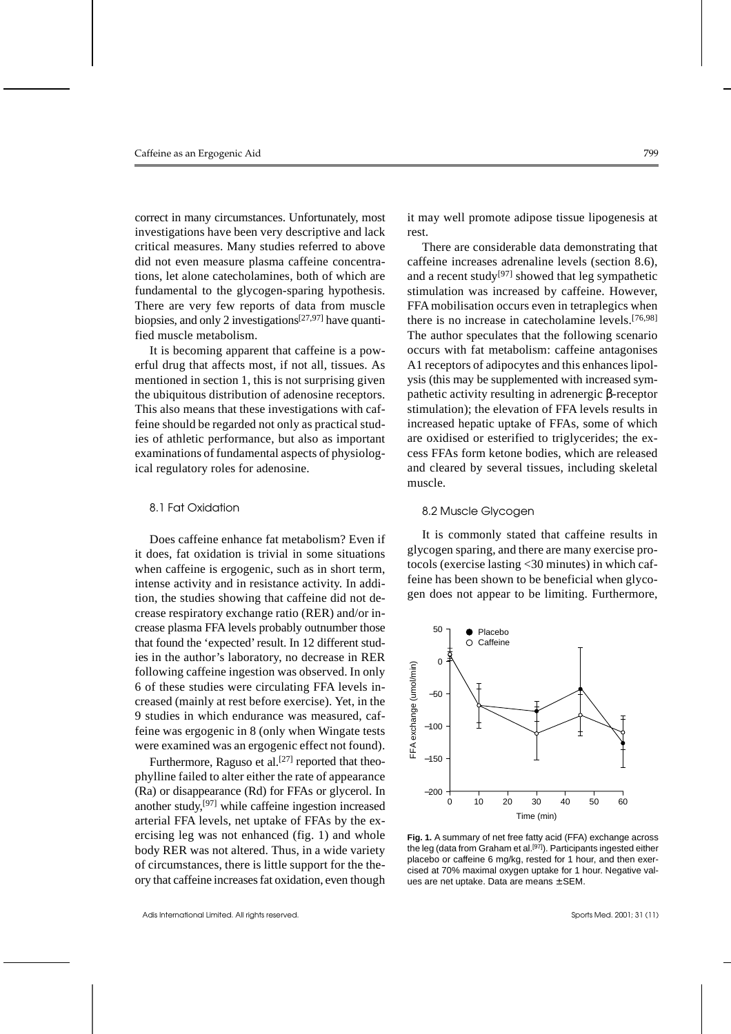correct in many circumstances. Unfortunately, most investigations have been very descriptive and lack critical measures. Many studies referred to above did not even measure plasma caffeine concentrations, let alone catecholamines, both of which are fundamental to the glycogen-sparing hypothesis. There are very few reports of data from muscle biopsies, and only 2 investigations<sup>[27,97]</sup> have quantified muscle metabolism.

It is becoming apparent that caffeine is a powerful drug that affects most, if not all, tissues. As mentioned in section 1, this is not surprising given the ubiquitous distribution of adenosine receptors. This also means that these investigations with caffeine should be regarded not only as practical studies of athletic performance, but also as important examinations of fundamental aspects of physiological regulatory roles for adenosine.

#### 8.1 Fat Oxidation

Does caffeine enhance fat metabolism? Even if it does, fat oxidation is trivial in some situations when caffeine is ergogenic, such as in short term, intense activity and in resistance activity. In addition, the studies showing that caffeine did not decrease respiratory exchange ratio (RER) and/or increase plasma FFA levels probably outnumber those that found the 'expected' result. In 12 different studies in the author's laboratory, no decrease in RER following caffeine ingestion was observed. In only 6 of these studies were circulating FFA levels increased (mainly at rest before exercise). Yet, in the 9 studies in which endurance was measured, caffeine was ergogenic in 8 (only when Wingate tests were examined was an ergogenic effect not found).

Furthermore, Raguso et al.<sup>[27]</sup> reported that theophylline failed to alter either the rate of appearance (Ra) or disappearance (Rd) for FFAs or glycerol. In another study,[97] while caffeine ingestion increased arterial FFA levels, net uptake of FFAs by the exercising leg was not enhanced (fig. 1) and whole body RER was not altered. Thus, in a wide variety of circumstances, there is little support for the theory that caffeine increases fat oxidation, even though

it may well promote adipose tissue lipogenesis at rest.

There are considerable data demonstrating that caffeine increases adrenaline levels (section 8.6), and a recent study<sup>[97]</sup> showed that leg sympathetic stimulation was increased by caffeine. However, FFA mobilisation occurs even in tetraplegics when there is no increase in catecholamine levels.[76,98] The author speculates that the following scenario occurs with fat metabolism: caffeine antagonises A1 receptors of adipocytes and this enhances lipolysis (this may be supplemented with increased sympathetic activity resulting in adrenergic β-receptor stimulation); the elevation of FFA levels results in increased hepatic uptake of FFAs, some of which are oxidised or esterified to triglycerides; the excess FFAs form ketone bodies, which are released and cleared by several tissues, including skeletal muscle.

#### 8.2 Muscle Glycogen

It is commonly stated that caffeine results in glycogen sparing, and there are many exercise protocols (exercise lasting <30 minutes) in which caffeine has been shown to be beneficial when glycogen does not appear to be limiting. Furthermore,



**Fig. 1.** A summary of net free fatty acid (FFA) exchange across the leg (data from Graham et al.[97]). Participants ingested either placebo or caffeine 6 mg/kg, rested for 1 hour, and then exercised at 70% maximal oxygen uptake for 1 hour. Negative values are net uptake. Data are means ± SEM.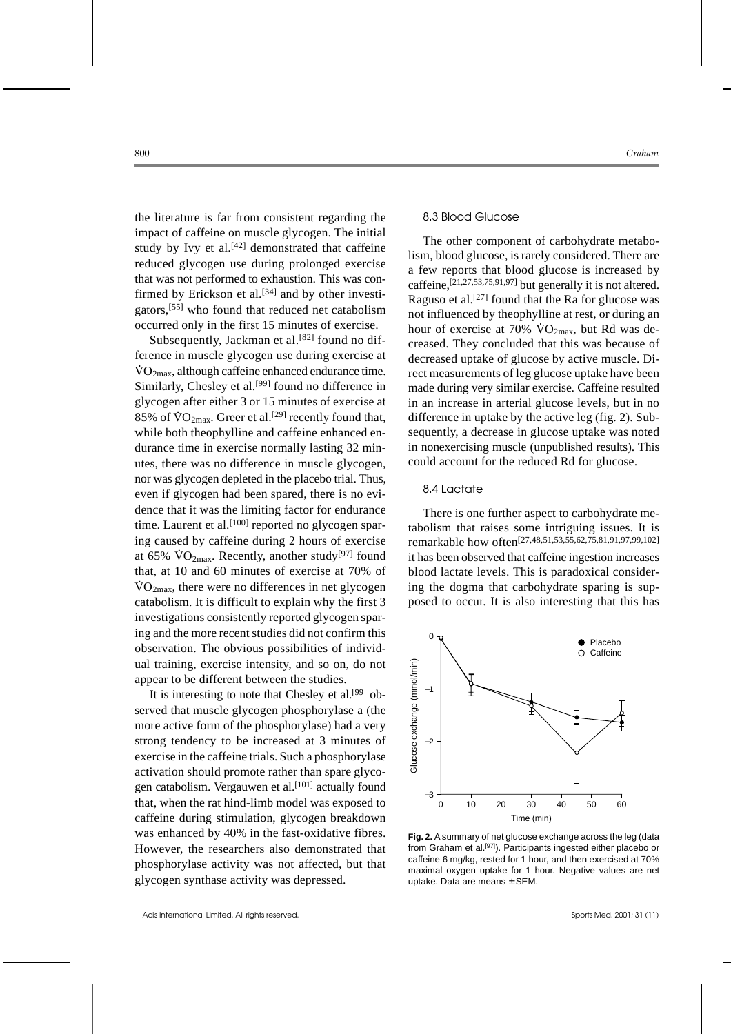the literature is far from consistent regarding the impact of caffeine on muscle glycogen. The initial study by Ivy et al. $[42]$  demonstrated that caffeine reduced glycogen use during prolonged exercise that was not performed to exhaustion. This was confirmed by Erickson et al.<sup>[34]</sup> and by other investigators,[55] who found that reduced net catabolism occurred only in the first 15 minutes of exercise.

Subsequently, Jackman et al.<sup>[82]</sup> found no difference in muscle glycogen use during exercise at VO $_{2\text{max}}$ , although caffeine enhanced endurance time. Similarly, Chesley et al.<sup>[99]</sup> found no difference in glycogen after either 3 or 15 minutes of exercise at 85% of  $VO<sub>2max</sub>$ . Greer et al.<sup>[29]</sup> recently found that, while both theophylline and caffeine enhanced endurance time in exercise normally lasting 32 minutes, there was no difference in muscle glycogen, nor was glycogen depleted in the placebo trial. Thus, even if glycogen had been spared, there is no evidence that it was the limiting factor for endurance time. Laurent et al.<sup>[100]</sup> reported no glycogen sparing caused by caffeine during 2 hours of exercise at  $65\%$   $\rm \ddot{VO}_{2max}$ . Recently, another study<sup>[97]</sup> found that, at 10 and 60 minutes of exercise at 70% of  $\rm{VO}_{2\text{max}}$ , there were no differences in net glycogen catabolism. It is difficult to explain why the first 3 investigations consistently reported glycogen sparing and the more recent studies did not confirm this observation. The obvious possibilities of individual training, exercise intensity, and so on, do not appear to be different between the studies.

It is interesting to note that Chesley et al.<sup>[99]</sup> observed that muscle glycogen phosphorylase a (the more active form of the phosphorylase) had a very strong tendency to be increased at 3 minutes of exercise in the caffeine trials. Such a phosphorylase activation should promote rather than spare glycogen catabolism. Vergauwen et al.<sup>[101]</sup> actually found that, when the rat hind-limb model was exposed to caffeine during stimulation, glycogen breakdown was enhanced by 40% in the fast-oxidative fibres. However, the researchers also demonstrated that phosphorylase activity was not affected, but that glycogen synthase activity was depressed.

#### 8.3 Blood Glucose

The other component of carbohydrate metabolism, blood glucose, is rarely considered. There are a few reports that blood glucose is increased by caffeine,<sup>[21,27,53,75,91,97]</sup> but generally it is not altered. Raguso et al.<sup>[27]</sup> found that the Ra for glucose was not influenced by theophylline at rest, or during an hour of exercise at  $70\%$  VO<sub>2max</sub>, but Rd was decreased. They concluded that this was because of decreased uptake of glucose by active muscle. Direct measurements of leg glucose uptake have been made during very similar exercise. Caffeine resulted in an increase in arterial glucose levels, but in no difference in uptake by the active leg (fig. 2). Subsequently, a decrease in glucose uptake was noted in nonexercising muscle (unpublished results). This could account for the reduced Rd for glucose.

#### 8.4 Lactate

There is one further aspect to carbohydrate metabolism that raises some intriguing issues. It is remarkable how often[27,48,51,53,55,62,75,81,91,97,99,102] it has been observed that caffeine ingestion increases blood lactate levels. This is paradoxical considering the dogma that carbohydrate sparing is supposed to occur. It is also interesting that this has



**Fig. 2.** A summary of net glucose exchange across the leg (data from Graham et al.[97]). Participants ingested either placebo or caffeine 6 mg/kg, rested for 1 hour, and then exercised at 70% maximal oxygen uptake for 1 hour. Negative values are net uptake. Data are means ± SEM.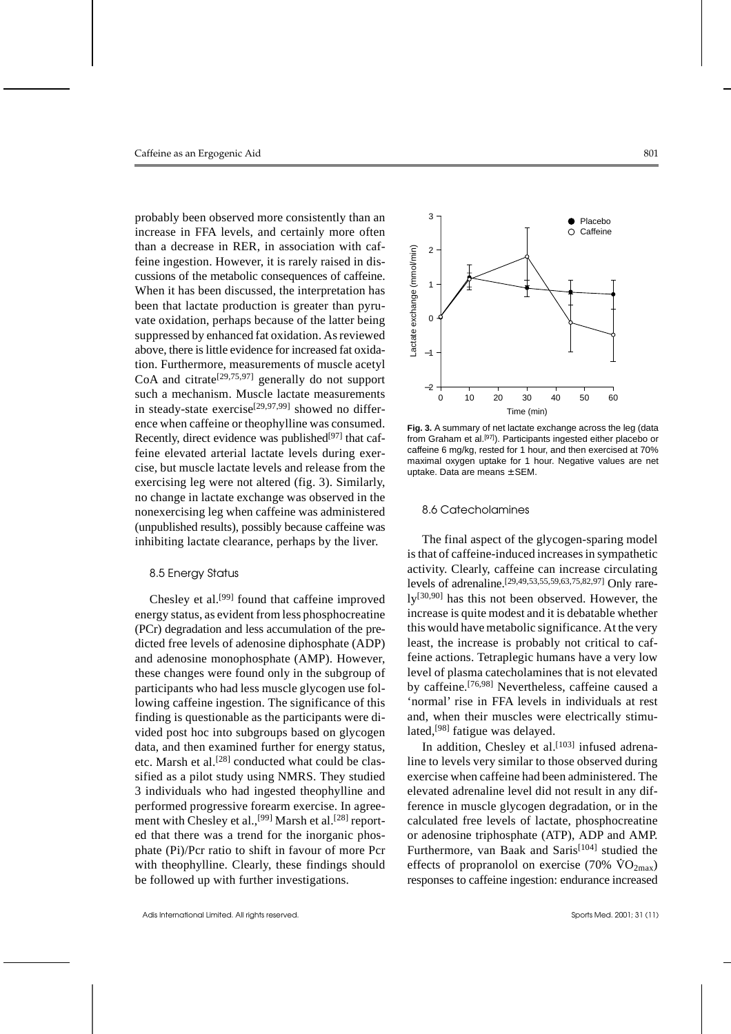probably been observed more consistently than an increase in FFA levels, and certainly more often than a decrease in RER, in association with caffeine ingestion. However, it is rarely raised in discussions of the metabolic consequences of caffeine. When it has been discussed, the interpretation has been that lactate production is greater than pyruvate oxidation, perhaps because of the latter being suppressed by enhanced fat oxidation. As reviewed above, there is little evidence for increased fat oxidation. Furthermore, measurements of muscle acetyl CoA and citrate<sup>[29,75,97]</sup> generally do not support such a mechanism. Muscle lactate measurements in steady-state exercise<sup>[29,97,99]</sup> showed no difference when caffeine or theophylline was consumed. Recently, direct evidence was published $[97]$  that caffeine elevated arterial lactate levels during exercise, but muscle lactate levels and release from the exercising leg were not altered (fig. 3). Similarly, no change in lactate exchange was observed in the nonexercising leg when caffeine was administered (unpublished results), possibly because caffeine was inhibiting lactate clearance, perhaps by the liver.

#### 8.5 Energy Status

Chesley et al.[99] found that caffeine improved energy status, as evident from less phosphocreatine (PCr) degradation and less accumulation of the predicted free levels of adenosine diphosphate (ADP) and adenosine monophosphate (AMP). However, these changes were found only in the subgroup of participants who had less muscle glycogen use following caffeine ingestion. The significance of this finding is questionable as the participants were divided post hoc into subgroups based on glycogen data, and then examined further for energy status, etc. Marsh et al.<sup>[28]</sup> conducted what could be classified as a pilot study using NMRS. They studied 3 individuals who had ingested theophylline and performed progressive forearm exercise. In agreement with Chesley et al.,<sup>[99]</sup> Marsh et al.<sup>[28]</sup> reported that there was a trend for the inorganic phosphate (Pi)/Pcr ratio to shift in favour of more Pcr with theophylline. Clearly, these findings should be followed up with further investigations.



**Fig. 3.** A summary of net lactate exchange across the leg (data from Graham et al.[97]). Participants ingested either placebo or caffeine 6 mg/kg, rested for 1 hour, and then exercised at 70% maximal oxygen uptake for 1 hour. Negative values are net uptake. Data are means ± SEM.

#### 8.6 Catecholamines

The final aspect of the glycogen-sparing model is that of caffeine-induced increases in sympathetic activity. Clearly, caffeine can increase circulating levels of adrenaline.[29,49,53,55,59,63,75,82,97] Only rarely[30,90] has this not been observed. However, the increase is quite modest and it is debatable whether this would have metabolic significance. At the very least, the increase is probably not critical to caffeine actions. Tetraplegic humans have a very low level of plasma catecholamines that is not elevated by caffeine.[76,98] Nevertheless, caffeine caused a 'normal' rise in FFA levels in individuals at rest and, when their muscles were electrically stimulated,[98] fatigue was delayed.

In addition, Chesley et al. $[103]$  infused adrenaline to levels very similar to those observed during exercise when caffeine had been administered. The elevated adrenaline level did not result in any difference in muscle glycogen degradation, or in the calculated free levels of lactate, phosphocreatine or adenosine triphosphate (ATP), ADP and AMP. Furthermore, van Baak and Saris<sup>[104]</sup> studied the Furthermore, van Baak and Bariston studied the effects of propranolol on exercise  $(70\% \text{ VO}_{2\text{max}})$ responses to caffeine ingestion: endurance increased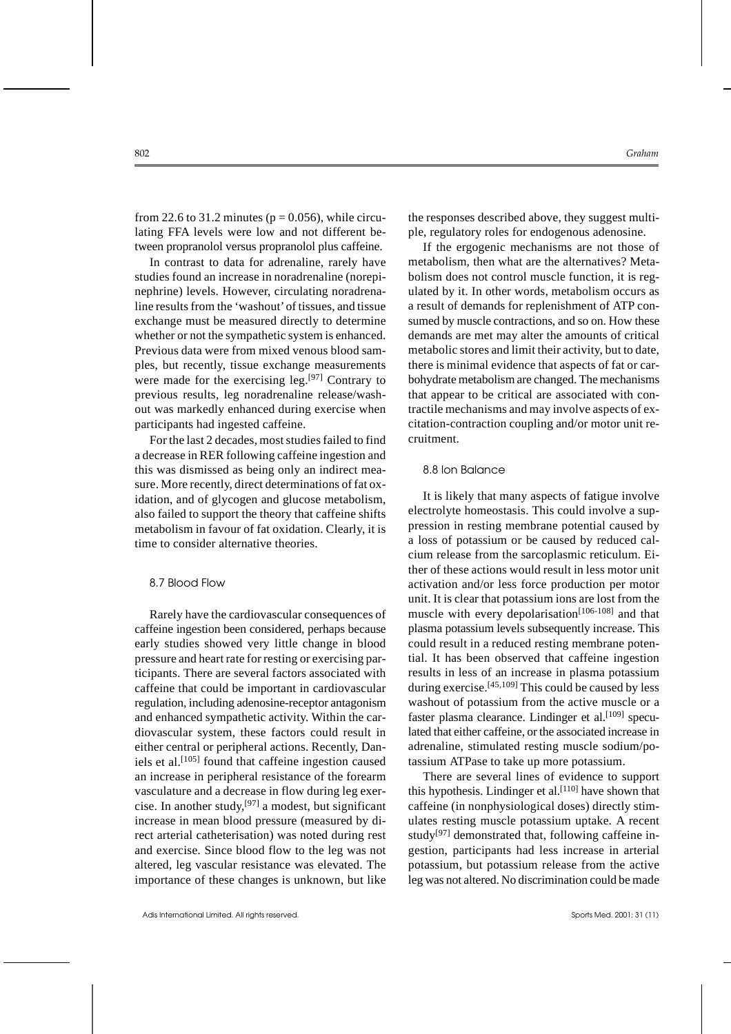In contrast to data for adrenaline, rarely have studies found an increase in noradrenaline (norepinephrine) levels. However, circulating noradrenaline results from the 'washout'of tissues, and tissue exchange must be measured directly to determine whether or not the sympathetic system is enhanced. Previous data were from mixed venous blood samples, but recently, tissue exchange measurements were made for the exercising  $leg.^{[97]}$  Contrary to previous results, leg noradrenaline release/washout was markedly enhanced during exercise when participants had ingested caffeine.

For the last 2 decades, most studies failed to find a decrease in RER following caffeine ingestion and this was dismissed as being only an indirect measure. More recently, direct determinations of fat oxidation, and of glycogen and glucose metabolism, also failed to support the theory that caffeine shifts metabolism in favour of fat oxidation. Clearly, it is time to consider alternative theories.

#### 8.7 Blood Flow

Rarely have the cardiovascular consequences of caffeine ingestion been considered, perhaps because early studies showed very little change in blood pressure and heart rate for resting or exercising participants. There are several factors associated with caffeine that could be important in cardiovascular regulation, including adenosine-receptor antagonism and enhanced sympathetic activity. Within the cardiovascular system, these factors could result in either central or peripheral actions. Recently, Daniels et al.<sup>[105]</sup> found that caffeine ingestion caused an increase in peripheral resistance of the forearm vasculature and a decrease in flow during leg exercise. In another study,  $[97]$  a modest, but significant increase in mean blood pressure (measured by direct arterial catheterisation) was noted during rest and exercise. Since blood flow to the leg was not altered, leg vascular resistance was elevated. The importance of these changes is unknown, but like the responses described above, they suggest multiple, regulatory roles for endogenous adenosine.

If the ergogenic mechanisms are not those of metabolism, then what are the alternatives? Metabolism does not control muscle function, it is regulated by it. In other words, metabolism occurs as a result of demands for replenishment of ATP consumed by muscle contractions, and so on. How these demands are met may alter the amounts of critical metabolic stores and limit their activity, but to date, there is minimal evidence that aspects of fat or carbohydrate metabolism are changed. The mechanisms that appear to be critical are associated with contractile mechanisms and may involve aspects of excitation-contraction coupling and/or motor unit recruitment.

#### 8.8 Ion Balance

It is likely that many aspects of fatigue involve electrolyte homeostasis. This could involve a suppression in resting membrane potential caused by a loss of potassium or be caused by reduced calcium release from the sarcoplasmic reticulum. Either of these actions would result in less motor unit activation and/or less force production per motor unit. It is clear that potassium ions are lost from the muscle with every depolarisation<sup>[106-108]</sup> and that plasma potassium levels subsequently increase. This could result in a reduced resting membrane potential. It has been observed that caffeine ingestion results in less of an increase in plasma potassium during exercise.<sup>[45,109]</sup> This could be caused by less washout of potassium from the active muscle or a faster plasma clearance. Lindinger et al.<sup>[109]</sup> speculated that either caffeine, or the associated increase in adrenaline, stimulated resting muscle sodium/potassium ATPase to take up more potassium.

There are several lines of evidence to support this hypothesis. Lindinger et al. $[110]$  have shown that caffeine (in nonphysiological doses) directly stimulates resting muscle potassium uptake. A recent study<sup>[97]</sup> demonstrated that, following caffeine ingestion, participants had less increase in arterial potassium, but potassium release from the active leg was not altered. No discrimination could be made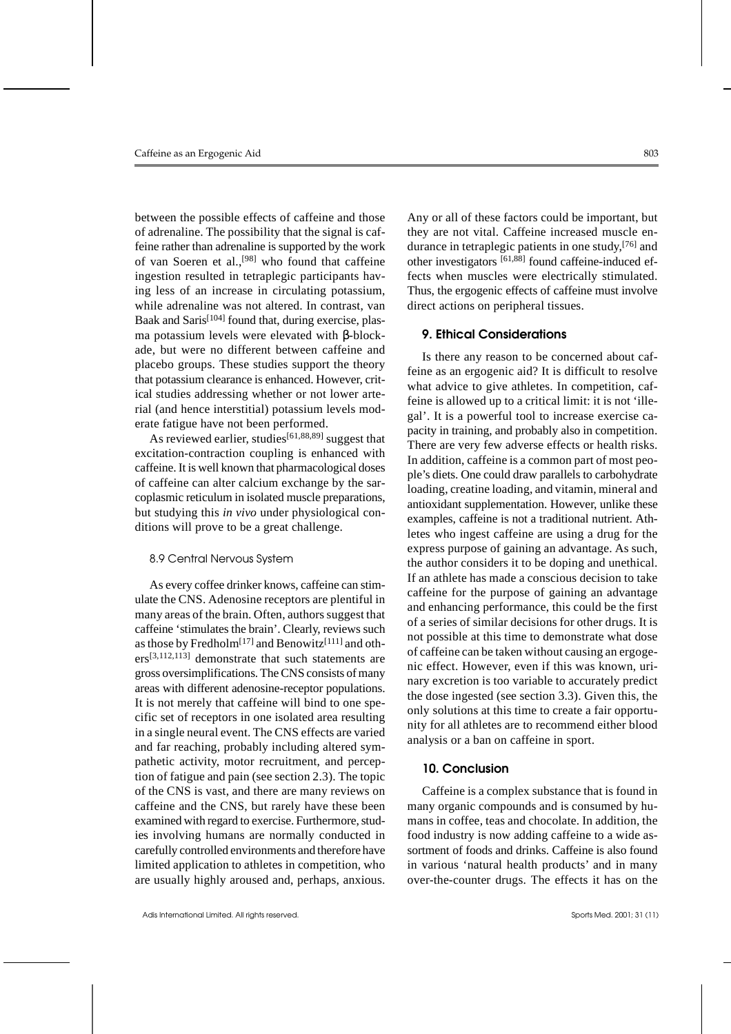between the possible effects of caffeine and those of adrenaline. The possibility that the signal is caffeine rather than adrenaline is supported by the work of van Soeren et al.,[98] who found that caffeine ingestion resulted in tetraplegic participants having less of an increase in circulating potassium, while adrenaline was not altered. In contrast, van Baak and Saris<sup>[104]</sup> found that, during exercise, plasma potassium levels were elevated with β-blockade, but were no different between caffeine and placebo groups. These studies support the theory that potassium clearance is enhanced. However, critical studies addressing whether or not lower arterial (and hence interstitial) potassium levels moderate fatigue have not been performed.

As reviewed earlier, studies<sup>[61,88,89]</sup> suggest that excitation-contraction coupling is enhanced with caffeine. It is well known that pharmacological doses of caffeine can alter calcium exchange by the sarcoplasmic reticulum in isolated muscle preparations, but studying this *in vivo* under physiological conditions will prove to be a great challenge.

#### 8.9 Central Nervous System

As every coffee drinker knows, caffeine can stimulate the CNS. Adenosine receptors are plentiful in many areas of the brain. Often, authors suggest that caffeine 'stimulates the brain'. Clearly, reviews such as those by Fredholm<sup>[17]</sup> and Benowitz<sup>[111]</sup> and others[3,112,113] demonstrate that such statements are gross oversimplifications. The CNS consists of many areas with different adenosine-receptor populations. It is not merely that caffeine will bind to one specific set of receptors in one isolated area resulting in a single neural event. The CNS effects are varied and far reaching, probably including altered sympathetic activity, motor recruitment, and perception of fatigue and pain (see section 2.3). The topic of the CNS is vast, and there are many reviews on caffeine and the CNS, but rarely have these been examined with regard to exercise. Furthermore, studies involving humans are normally conducted in carefully controlled environments and therefore have limited application to athletes in competition, who are usually highly aroused and, perhaps, anxious.

Any or all of these factors could be important, but they are not vital. Caffeine increased muscle endurance in tetraplegic patients in one study,[76] and other investigators [61,88] found caffeine-induced effects when muscles were electrically stimulated. Thus, the ergogenic effects of caffeine must involve direct actions on peripheral tissues.

#### **9. Ethical Considerations**

Is there any reason to be concerned about caffeine as an ergogenic aid? It is difficult to resolve what advice to give athletes. In competition, caffeine is allowed up to a critical limit: it is not 'illegal'. It is a powerful tool to increase exercise capacity in training, and probably also in competition. There are very few adverse effects or health risks. In addition, caffeine is a common part of most people's diets. One could draw parallels to carbohydrate loading, creatine loading, and vitamin, mineral and antioxidant supplementation. However, unlike these examples, caffeine is not a traditional nutrient. Athletes who ingest caffeine are using a drug for the express purpose of gaining an advantage. As such, the author considers it to be doping and unethical. If an athlete has made a conscious decision to take caffeine for the purpose of gaining an advantage and enhancing performance, this could be the first of a series of similar decisions for other drugs. It is not possible at this time to demonstrate what dose of caffeine can be taken without causing an ergogenic effect. However, even if this was known, urinary excretion is too variable to accurately predict the dose ingested (see section 3.3). Given this, the only solutions at this time to create a fair opportunity for all athletes are to recommend either blood analysis or a ban on caffeine in sport.

#### **10. Conclusion**

Caffeine is a complex substance that is found in many organic compounds and is consumed by humans in coffee, teas and chocolate. In addition, the food industry is now adding caffeine to a wide assortment of foods and drinks. Caffeine is also found in various 'natural health products' and in many over-the-counter drugs. The effects it has on the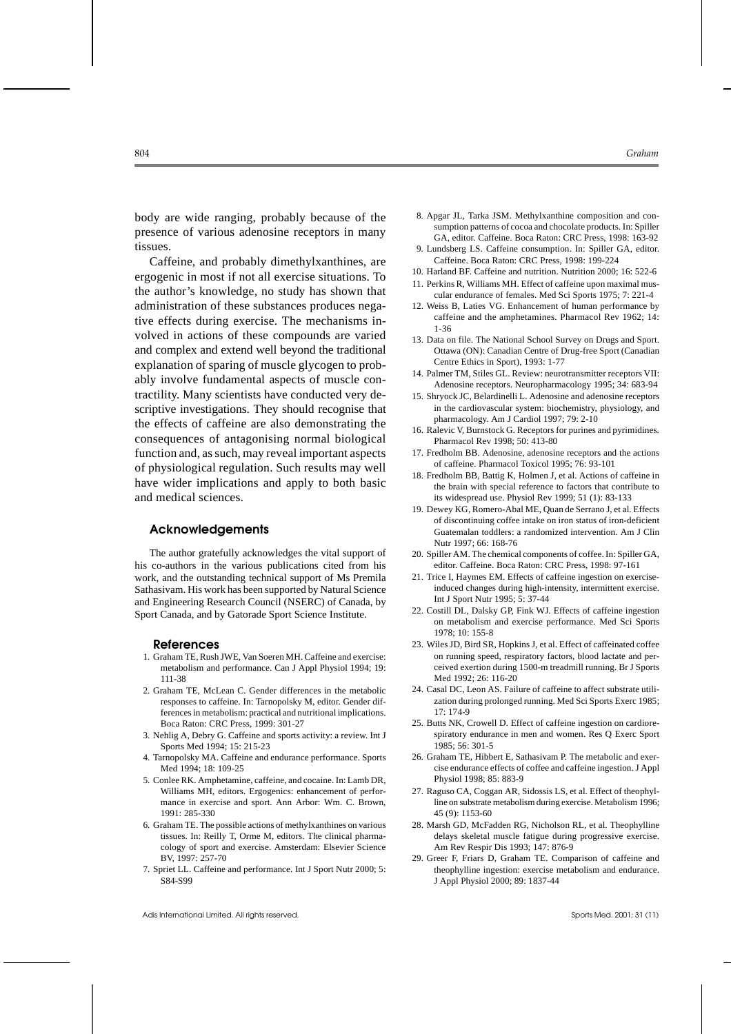body are wide ranging, probably because of the presence of various adenosine receptors in many tissues.

Caffeine, and probably dimethylxanthines, are ergogenic in most if not all exercise situations. To the author's knowledge, no study has shown that administration of these substances produces negative effects during exercise. The mechanisms involved in actions of these compounds are varied and complex and extend well beyond the traditional explanation of sparing of muscle glycogen to probably involve fundamental aspects of muscle contractility. Many scientists have conducted very descriptive investigations. They should recognise that the effects of caffeine are also demonstrating the consequences of antagonising normal biological function and, as such, may reveal important aspects of physiological regulation. Such results may well have wider implications and apply to both basic and medical sciences.

#### **Acknowledgements**

The author gratefully acknowledges the vital support of his co-authors in the various publications cited from his work, and the outstanding technical support of Ms Premila Sathasivam. His work has been supported by Natural Science and Engineering Research Council (NSERC) of Canada, by Sport Canada, and by Gatorade Sport Science Institute.

#### **References**

- 1. Graham TE, Rush JWE, Van Soeren MH. Caffeine and exercise: metabolism and performance. Can J Appl Physiol 1994; 19: 111-38
- 2. Graham TE, McLean C. Gender differences in the metabolic responses to caffeine. In: Tarnopolsky M, editor. Gender differences in metabolism: practical and nutritional implications. Boca Raton: CRC Press, 1999: 301-27
- 3. Nehlig A, Debry G. Caffeine and sports activity: a review. Int J Sports Med 1994; 15: 215-23
- 4. Tarnopolsky MA. Caffeine and endurance performance. Sports Med 1994; 18: 109-25
- 5. Conlee RK. Amphetamine, caffeine, and cocaine. In: Lamb DR, Williams MH, editors. Ergogenics: enhancement of performance in exercise and sport. Ann Arbor: Wm. C. Brown, 1991: 285-330
- 6. Graham TE. The possible actions of methylxanthines on various tissues. In: Reilly T, Orme M, editors. The clinical pharmacology of sport and exercise. Amsterdam: Elsevier Science BV, 1997: 257-70
- 7. Spriet LL. Caffeine and performance. Int J Sport Nutr 2000; 5: S84-S99
- 8. Apgar JL, Tarka JSM. Methylxanthine composition and consumption patterns of cocoa and chocolate products. In: Spiller GA, editor. Caffeine. Boca Raton: CRC Press, 1998: 163-92
- 9. Lundsberg LS. Caffeine consumption. In: Spiller GA, editor. Caffeine. Boca Raton: CRC Press, 1998: 199-224
- 10. Harland BF. Caffeine and nutrition. Nutrition 2000; 16: 522-6
- 11. Perkins R, Williams MH. Effect of caffeine upon maximal muscular endurance of females. Med Sci Sports 1975; 7: 221-4
- 12. Weiss B, Laties VG. Enhancement of human performance by caffeine and the amphetamines. Pharmacol Rev 1962; 14: 1-36
- 13. Data on file. The National School Survey on Drugs and Sport. Ottawa (ON): Canadian Centre of Drug-free Sport (Canadian Centre Ethics in Sport), 1993: 1-77
- 14. Palmer TM, Stiles GL. Review: neurotransmitter receptors VII: Adenosine receptors. Neuropharmacology 1995; 34: 683-94
- 15. Shryock JC, Belardinelli L. Adenosine and adenosine receptors in the cardiovascular system: biochemistry, physiology, and pharmacology. Am J Cardiol 1997; 79: 2-10
- 16. Ralevic V, Burnstock G. Receptors for purines and pyrimidines. Pharmacol Rev 1998; 50: 413-80
- 17. Fredholm BB. Adenosine, adenosine receptors and the actions of caffeine. Pharmacol Toxicol 1995; 76: 93-101
- 18. Fredholm BB, Battig K, Holmen J, et al. Actions of caffeine in the brain with special reference to factors that contribute to its widespread use. Physiol Rev 1999; 51 (1): 83-133
- 19. Dewey KG, Romero-Abal ME, Quan de Serrano J, et al. Effects of discontinuing coffee intake on iron status of iron-deficient Guatemalan toddlers: a randomized intervention. Am J Clin Nutr 1997; 66: 168-76
- 20. Spiller AM. The chemical components of coffee. In: Spiller GA, editor. Caffeine. Boca Raton: CRC Press, 1998: 97-161
- 21. Trice I, Haymes EM. Effects of caffeine ingestion on exerciseinduced changes during high-intensity, intermittent exercise. Int J Sport Nutr 1995; 5: 37-44
- 22. Costill DL, Dalsky GP, Fink WJ. Effects of caffeine ingestion on metabolism and exercise performance. Med Sci Sports 1978; 10: 155-8
- 23. Wiles JD, Bird SR, Hopkins J, et al. Effect of caffeinated coffee on running speed, respiratory factors, blood lactate and perceived exertion during 1500-m treadmill running. Br J Sports Med 1992; 26: 116-20
- 24. Casal DC, Leon AS. Failure of caffeine to affect substrate utilization during prolonged running. Med Sci Sports Exerc 1985; 17: 174-9
- 25. Butts NK, Crowell D. Effect of caffeine ingestion on cardiorespiratory endurance in men and women. Res Q Exerc Sport 1985; 56: 301-5
- 26. Graham TE, Hibbert E, Sathasivam P. The metabolic and exercise endurance effects of coffee and caffeine ingestion. J Appl Physiol 1998; 85: 883-9
- 27. Raguso CA, Coggan AR, Sidossis LS, et al. Effect of theophylline on substrate metabolism during exercise. Metabolism 1996; 45 (9): 1153-60
- 28. Marsh GD, McFadden RG, Nicholson RL, et al. Theophylline delays skeletal muscle fatigue during progressive exercise. Am Rev Respir Dis 1993; 147: 876-9
- 29. Greer F, Friars D, Graham TE. Comparison of caffeine and theophylline ingestion: exercise metabolism and endurance. J Appl Physiol 2000; 89: 1837-44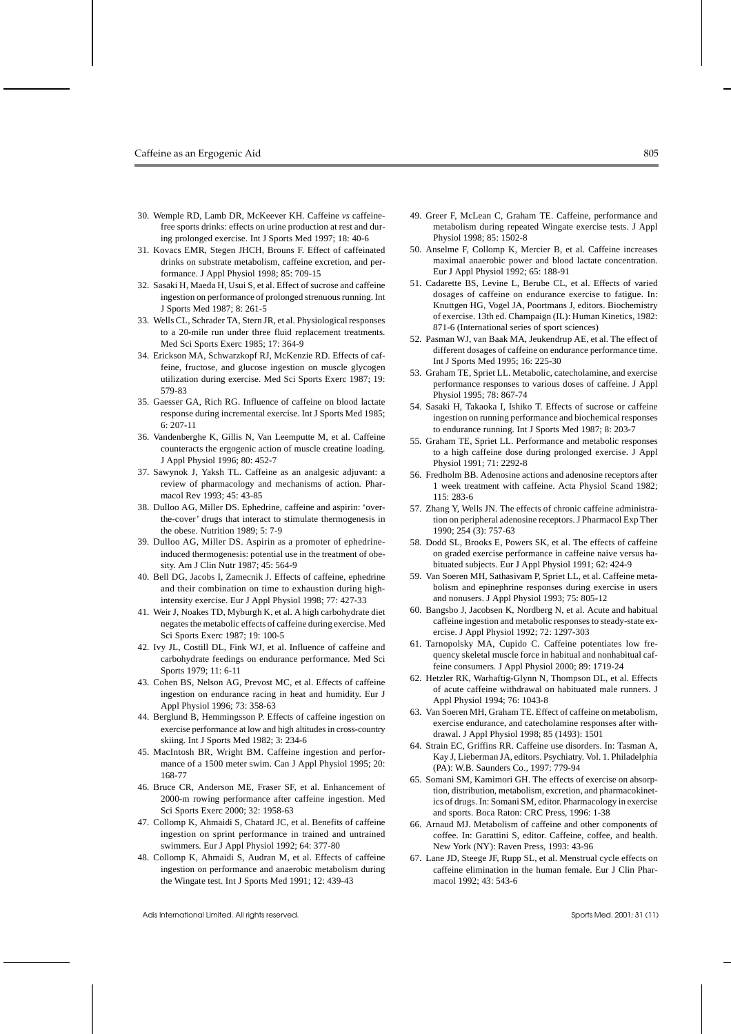- 30. Wemple RD, Lamb DR, McKeever KH. Caffeine *vs* caffeinefree sports drinks: effects on urine production at rest and during prolonged exercise. Int J Sports Med 1997; 18: 40-6
- 31. Kovacs EMR, Stegen JHCH, Brouns F. Effect of caffeinated drinks on substrate metabolism, caffeine excretion, and performance. J Appl Physiol 1998; 85: 709-15
- 32. Sasaki H, Maeda H, Usui S, et al. Effect of sucrose and caffeine ingestion on performance of prolonged strenuous running. Int J Sports Med 1987; 8: 261-5
- 33. Wells CL, Schrader TA, Stern JR, et al. Physiological responses to a 20-mile run under three fluid replacement treatments. Med Sci Sports Exerc 1985; 17: 364-9
- 34. Erickson MA, Schwarzkopf RJ, McKenzie RD. Effects of caffeine, fructose, and glucose ingestion on muscle glycogen utilization during exercise. Med Sci Sports Exerc 1987; 19: 579-83
- 35. Gaesser GA, Rich RG. Influence of caffeine on blood lactate response during incremental exercise. Int J Sports Med 1985; 6: 207-11
- 36. Vandenberghe K, Gillis N, Van Leemputte M, et al. Caffeine counteracts the ergogenic action of muscle creatine loading. J Appl Physiol 1996; 80: 452-7
- 37. Sawynok J, Yaksh TL. Caffeine as an analgesic adjuvant: a review of pharmacology and mechanisms of action. Pharmacol Rev 1993; 45: 43-85
- 38. Dulloo AG, Miller DS. Ephedrine, caffeine and aspirin: 'overthe-cover' drugs that interact to stimulate thermogenesis in the obese. Nutrition 1989; 5: 7-9
- 39. Dulloo AG, Miller DS. Aspirin as a promoter of ephedrineinduced thermogenesis: potential use in the treatment of obesity. Am J Clin Nutr 1987; 45: 564-9
- 40. Bell DG, Jacobs I, Zamecnik J. Effects of caffeine, ephedrine and their combination on time to exhaustion during highintensity exercise. Eur J Appl Physiol 1998; 77: 427-33
- 41. Weir J, Noakes TD, Myburgh K, et al. A high carbohydrate diet negates the metabolic effects of caffeine during exercise. Med Sci Sports Exerc 1987; 19: 100-5
- 42. Ivy JL, Costill DL, Fink WJ, et al. Influence of caffeine and carbohydrate feedings on endurance performance. Med Sci Sports 1979; 11: 6-11
- 43. Cohen BS, Nelson AG, Prevost MC, et al. Effects of caffeine ingestion on endurance racing in heat and humidity. Eur J Appl Physiol 1996; 73: 358-63
- 44. Berglund B, Hemmingsson P. Effects of caffeine ingestion on exercise performance at low and high altitudes in cross-country skiing. Int J Sports Med 1982; 3: 234-6
- 45. MacIntosh BR, Wright BM. Caffeine ingestion and performance of a 1500 meter swim. Can J Appl Physiol 1995; 20: 168-77
- 46. Bruce CR, Anderson ME, Fraser SF, et al. Enhancement of 2000-m rowing performance after caffeine ingestion. Med Sci Sports Exerc 2000; 32: 1958-63
- 47. Collomp K, Ahmaidi S, Chatard JC, et al. Benefits of caffeine ingestion on sprint performance in trained and untrained swimmers. Eur J Appl Physiol 1992; 64: 377-80
- 48. Collomp K, Ahmaidi S, Audran M, et al. Effects of caffeine ingestion on performance and anaerobic metabolism during the Wingate test. Int J Sports Med 1991; 12: 439-43
- 
- 49. Greer F, McLean C, Graham TE. Caffeine, performance and metabolism during repeated Wingate exercise tests. J Appl Physiol 1998; 85: 1502-8
- 50. Anselme F, Collomp K, Mercier B, et al. Caffeine increases maximal anaerobic power and blood lactate concentration. Eur J Appl Physiol 1992; 65: 188-91
- 51. Cadarette BS, Levine L, Berube CL, et al. Effects of varied dosages of caffeine on endurance exercise to fatigue. In: Knuttgen HG, Vogel JA, Poortmans J, editors. Biochemistry of exercise. 13th ed. Champaign (IL): Human Kinetics, 1982: 871-6 (International series of sport sciences)
- 52. Pasman WJ, van Baak MA, Jeukendrup AE, et al. The effect of different dosages of caffeine on endurance performance time. Int J Sports Med 1995; 16: 225-30
- 53. Graham TE, Spriet LL. Metabolic, catecholamine, and exercise performance responses to various doses of caffeine. J Appl Physiol 1995; 78: 867-74
- 54. Sasaki H, Takaoka I, Ishiko T. Effects of sucrose or caffeine ingestion on running performance and biochemical responses to endurance running. Int J Sports Med 1987; 8: 203-7
- 55. Graham TE, Spriet LL. Performance and metabolic responses to a high caffeine dose during prolonged exercise. J Appl Physiol 1991; 71: 2292-8
- 56. Fredholm BB. Adenosine actions and adenosine receptors after 1 week treatment with caffeine. Acta Physiol Scand 1982; 115: 283-6
- 57. Zhang Y, Wells JN. The effects of chronic caffeine administration on peripheral adenosine receptors. J Pharmacol Exp Ther 1990; 254 (3): 757-63
- 58. Dodd SL, Brooks E, Powers SK, et al. The effects of caffeine on graded exercise performance in caffeine naive versus habituated subjects. Eur J Appl Physiol 1991; 62: 424-9
- 59. Van Soeren MH, Sathasivam P, Spriet LL, et al. Caffeine metabolism and epinephrine responses during exercise in users and nonusers. J Appl Physiol 1993; 75: 805-12
- 60. Bangsbo J, Jacobsen K, Nordberg N, et al. Acute and habitual caffeine ingestion and metabolic responses to steady-state exercise. J Appl Physiol 1992; 72: 1297-303
- 61. Tarnopolsky MA, Cupido C. Caffeine potentiates low frequency skeletal muscle force in habitual and nonhabitual caffeine consumers. J Appl Physiol 2000; 89: 1719-24
- 62. Hetzler RK, Warhaftig-Glynn N, Thompson DL, et al. Effects of acute caffeine withdrawal on habituated male runners. J Appl Physiol 1994; 76: 1043-8
- 63. Van Soeren MH, Graham TE. Effect of caffeine on metabolism, exercise endurance, and catecholamine responses after withdrawal. J Appl Physiol 1998; 85 (1493): 1501
- 64. Strain EC, Griffins RR. Caffeine use disorders. In: Tasman A, Kay J, Lieberman JA, editors. Psychiatry. Vol. 1. Philadelphia (PA): W.B. Saunders Co., 1997: 779-94
- 65. Somani SM, Kamimori GH. The effects of exercise on absorption, distribution, metabolism, excretion, and pharmacokinetics of drugs. In: Somani SM, editor. Pharmacology in exercise and sports. Boca Raton: CRC Press, 1996: 1-38
- 66. Arnaud MJ. Metabolism of caffeine and other components of coffee. In: Garattini S, editor. Caffeine, coffee, and health. New York (NY): Raven Press, 1993: 43-96
- 67. Lane JD, Steege JF, Rupp SL, et al. Menstrual cycle effects on caffeine elimination in the human female. Eur J Clin Pharmacol 1992; 43: 543-6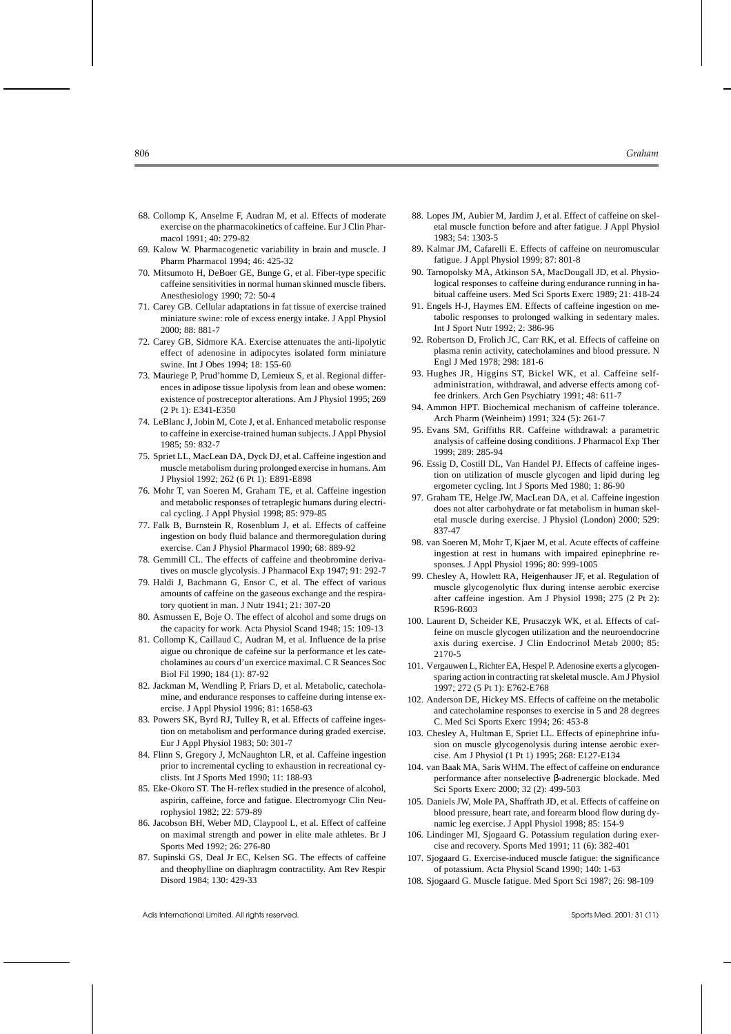- 68. Collomp K, Anselme F, Audran M, et al. Effects of moderate exercise on the pharmacokinetics of caffeine. Eur J Clin Pharmacol 1991; 40: 279-82
- 69. Kalow W. Pharmacogenetic variability in brain and muscle. J Pharm Pharmacol 1994; 46: 425-32
- 70. Mitsumoto H, DeBoer GE, Bunge G, et al. Fiber-type specific caffeine sensitivities in normal human skinned muscle fibers. Anesthesiology 1990; 72: 50-4
- 71. Carey GB. Cellular adaptations in fat tissue of exercise trained miniature swine: role of excess energy intake. J Appl Physiol 2000; 88: 881-7
- 72. Carey GB, Sidmore KA. Exercise attenuates the anti-lipolytic effect of adenosine in adipocytes isolated form miniature swine. Int J Obes 1994; 18: 155-60
- 73. Mauriege P, Prud'homme D, Lemieux S, et al. Regional differences in adipose tissue lipolysis from lean and obese women: existence of postreceptor alterations. Am J Physiol 1995; 269 (2 Pt 1): E341-E350
- 74. LeBlanc J, Jobin M, Cote J, et al. Enhanced metabolic response to caffeine in exercise-trained human subjects. J Appl Physiol 1985; 59: 832-7
- 75. Spriet LL, MacLean DA, Dyck DJ, et al. Caffeine ingestion and muscle metabolism during prolonged exercise in humans. Am J Physiol 1992; 262 (6 Pt 1): E891-E898
- 76. Mohr T, van Soeren M, Graham TE, et al. Caffeine ingestion and metabolic responses of tetraplegic humans during electrical cycling. J Appl Physiol 1998; 85: 979-85
- 77. Falk B, Burnstein R, Rosenblum J, et al. Effects of caffeine ingestion on body fluid balance and thermoregulation during exercise. Can J Physiol Pharmacol 1990; 68: 889-92
- 78. Gemmill CL. The effects of caffeine and theobromine derivatives on muscle glycolysis. J Pharmacol Exp 1947; 91: 292-7
- 79. Haldi J, Bachmann G, Ensor C, et al. The effect of various amounts of caffeine on the gaseous exchange and the respiratory quotient in man. J Nutr 1941; 21: 307-20
- 80. Asmussen E, Boje O. The effect of alcohol and some drugs on the capacity for work. Acta Physiol Scand 1948; 15: 109-13
- 81. Collomp K, Caillaud C, Audran M, et al. Influence de la prise aigue ou chronique de cafeine sur la performance et les catecholamines au cours d'un exercice maximal. C R Seances Soc Biol Fil 1990; 184 (1): 87-92
- 82. Jackman M, Wendling P, Friars D, et al. Metabolic, catecholamine, and endurance responses to caffeine during intense exercise. J Appl Physiol 1996; 81: 1658-63
- 83. Powers SK, Byrd RJ, Tulley R, et al. Effects of caffeine ingestion on metabolism and performance during graded exercise. Eur J Appl Physiol 1983; 50: 301-7
- 84. Flinn S, Gregory J, McNaughton LR, et al. Caffeine ingestion prior to incremental cycling to exhaustion in recreational cyclists. Int J Sports Med 1990; 11: 188-93
- 85. Eke-Okoro ST. The H-reflex studied in the presence of alcohol, aspirin, caffeine, force and fatigue. Electromyogr Clin Neurophysiol 1982; 22: 579-89
- 86. Jacobson BH, Weber MD, Claypool L, et al. Effect of caffeine on maximal strength and power in elite male athletes. Br J Sports Med 1992; 26: 276-80
- 87. Supinski GS, Deal Jr EC, Kelsen SG. The effects of caffeine and theophylline on diaphragm contractility. Am Rev Respir Disord 1984; 130: 429-33
- 88. Lopes JM, Aubier M, Jardim J, et al. Effect of caffeine on skeletal muscle function before and after fatigue. J Appl Physiol 1983; 54: 1303-5
- 89. Kalmar JM, Cafarelli E. Effects of caffeine on neuromuscular fatigue. J Appl Physiol 1999; 87: 801-8
- 90. Tarnopolsky MA, Atkinson SA, MacDougall JD, et al. Physiological responses to caffeine during endurance running in habitual caffeine users. Med Sci Sports Exerc 1989; 21: 418-24
- 91. Engels H-J, Haymes EM. Effects of caffeine ingestion on metabolic responses to prolonged walking in sedentary males. Int J Sport Nutr 1992; 2: 386-96
- 92. Robertson D, Frolich JC, Carr RK, et al. Effects of caffeine on plasma renin activity, catecholamines and blood pressure. N Engl J Med 1978; 298: 181-6
- 93. Hughes JR, Higgins ST, Bickel WK, et al. Caffeine selfadministration, withdrawal, and adverse effects among coffee drinkers. Arch Gen Psychiatry 1991; 48: 611-7
- 94. Ammon HPT. Biochemical mechanism of caffeine tolerance. Arch Pharm (Weinheim) 1991; 324 (5): 261-7
- 95. Evans SM, Griffiths RR. Caffeine withdrawal: a parametric analysis of caffeine dosing conditions. J Pharmacol Exp Ther 1999; 289: 285-94
- 96. Essig D, Costill DL, Van Handel PJ. Effects of caffeine ingestion on utilization of muscle glycogen and lipid during leg ergometer cycling. Int J Sports Med 1980; 1: 86-90
- 97. Graham TE, Helge JW, MacLean DA, et al. Caffeine ingestion does not alter carbohydrate or fat metabolism in human skeletal muscle during exercise. J Physiol (London) 2000; 529: 837-47
- 98. van Soeren M, Mohr T, Kjaer M, et al. Acute effects of caffeine ingestion at rest in humans with impaired epinephrine responses. J Appl Physiol 1996; 80: 999-1005
- 99. Chesley A, Howlett RA, Heigenhauser JF, et al. Regulation of muscle glycogenolytic flux during intense aerobic exercise after caffeine ingestion. Am J Physiol 1998; 275 (2 Pt 2): R596-R603
- 100. Laurent D, Scheider KE, Prusaczyk WK, et al. Effects of caffeine on muscle glycogen utilization and the neuroendocrine axis during exercise. J Clin Endocrinol Metab 2000; 85: 2170-5
- 101. Vergauwen L, Richter EA, Hespel P. Adenosine exerts a glycogensparing action in contracting rat skeletal muscle. Am J Physiol 1997; 272 (5 Pt 1): E762-E768
- 102. Anderson DE, Hickey MS. Effects of caffeine on the metabolic and catecholamine responses to exercise in 5 and 28 degrees C. Med Sci Sports Exerc 1994; 26: 453-8
- 103. Chesley A, Hultman E, Spriet LL. Effects of epinephrine infusion on muscle glycogenolysis during intense aerobic exercise. Am J Physiol (1 Pt 1) 1995; 268: E127-E134
- 104. van Baak MA, Saris WHM. The effect of caffeine on endurance performance after nonselective β-adrenergic blockade. Med Sci Sports Exerc 2000; 32 (2): 499-503
- 105. Daniels JW, Mole PA, Shaffrath JD, et al. Effects of caffeine on blood pressure, heart rate, and forearm blood flow during dynamic leg exercise. J Appl Physiol 1998; 85: 154-9
- 106. Lindinger MI, Sjogaard G. Potassium regulation during exercise and recovery. Sports Med 1991; 11 (6): 382-401
- 107. Sjogaard G. Exercise-induced muscle fatigue: the significance of potassium. Acta Physiol Scand 1990; 140: 1-63
- 108. Sjogaard G. Muscle fatigue. Med Sport Sci 1987; 26: 98-109